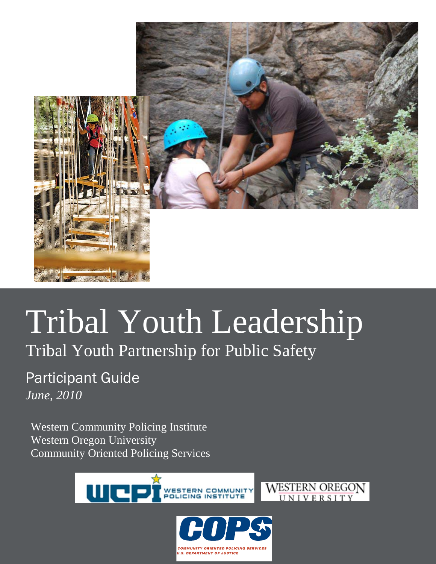

# Tribal Youth Leadership

Tribal Youth Partnership for Public Safety

Participant Guide *June, 2010*

Western Community Policing Institute Western Oregon University Community Oriented Policing Services





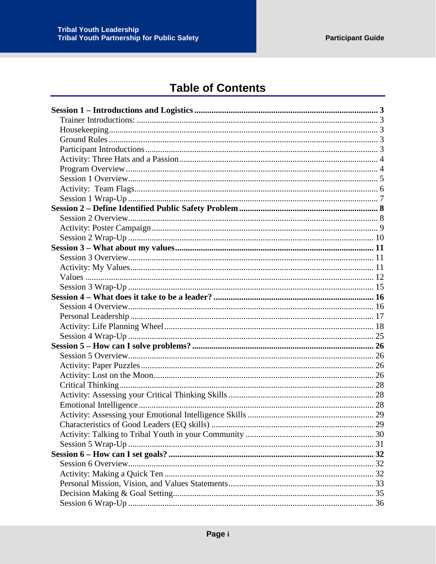## **Table of Contents**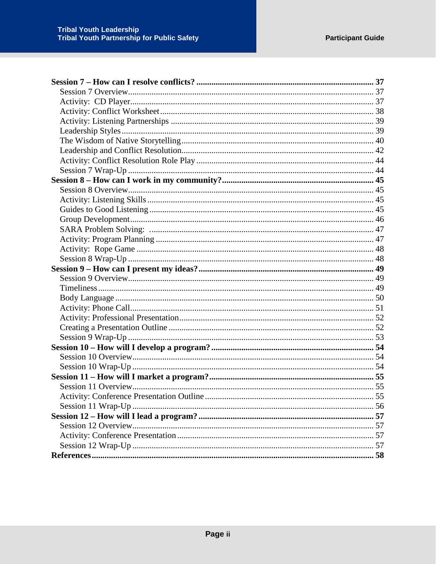| <b>Activity: Conference Presentation Outline</b> |  |
|--------------------------------------------------|--|
|                                                  |  |
|                                                  |  |
|                                                  |  |
|                                                  |  |
|                                                  |  |
|                                                  |  |
|                                                  |  |
|                                                  |  |
|                                                  |  |
|                                                  |  |
|                                                  |  |
|                                                  |  |
|                                                  |  |
|                                                  |  |
|                                                  |  |
|                                                  |  |
|                                                  |  |
|                                                  |  |
|                                                  |  |
|                                                  |  |
|                                                  |  |
|                                                  |  |
|                                                  |  |
|                                                  |  |
|                                                  |  |
|                                                  |  |
|                                                  |  |
|                                                  |  |
|                                                  |  |
|                                                  |  |
|                                                  |  |
|                                                  |  |
|                                                  |  |
|                                                  |  |
|                                                  |  |
|                                                  |  |
|                                                  |  |
|                                                  |  |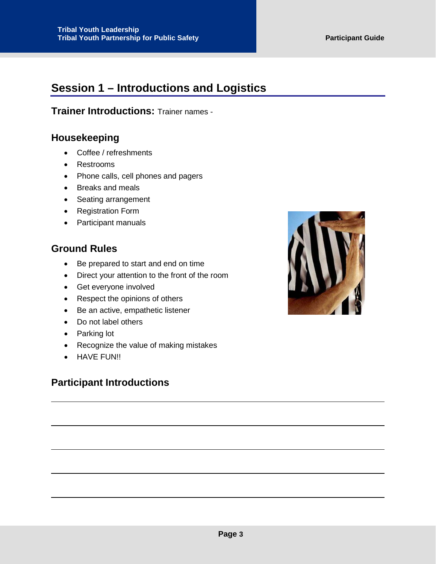## <span id="page-3-0"></span>**Session 1 – Introductions and Logistics**

<span id="page-3-1"></span>**Trainer Introductions:** Trainer names -

## <span id="page-3-2"></span>**Housekeeping**

- Coffee / refreshments
- Restrooms
- Phone calls, cell phones and pagers
- Breaks and meals
- Seating arrangement
- Registration Form
- Participant manuals

## <span id="page-3-3"></span>**Ground Rules**

- Be prepared to start and end on time
- Direct your attention to the front of the room
- Get everyone involved
- Respect the opinions of others
- Be an active, empathetic listener
- Do not label others
- Parking lot
- Recognize the value of making mistakes
- HAVE FUN!!

## <span id="page-3-4"></span>**Participant Introductions**

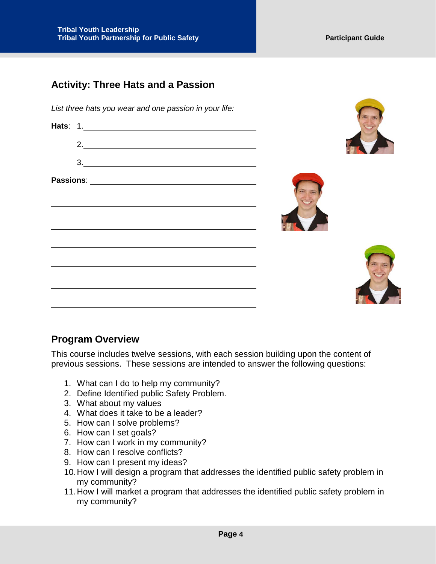## <span id="page-4-0"></span>**Activity: Three Hats and a Passion**

*List three hats you wear and one passion in your life:*

| 2.<br><u> 1989 - Johann Barn, mars ar breithinn ar chuid ann an t-</u>                                                                                                                                                                                                                                                                                                         |  |
|--------------------------------------------------------------------------------------------------------------------------------------------------------------------------------------------------------------------------------------------------------------------------------------------------------------------------------------------------------------------------------|--|
| $\begin{array}{c c c c c} \hline \rule{0pt}{16pt} \rule{0pt}{2.5ex} \rule{0pt}{2.5ex} \rule{0pt}{2.5ex} \rule{0pt}{2.5ex} \rule{0pt}{2.5ex} \rule{0pt}{2.5ex} \rule{0pt}{2.5ex} \rule{0pt}{2.5ex} \rule{0pt}{2.5ex} \rule{0pt}{2.5ex} \rule{0pt}{2.5ex} \rule{0pt}{2.5ex} \rule{0pt}{2.5ex} \rule{0pt}{2.5ex} \rule{0pt}{2.5ex} \rule{0pt}{2.5ex} \rule{0pt}{2.5ex} \rule{0pt$ |  |
|                                                                                                                                                                                                                                                                                                                                                                                |  |
|                                                                                                                                                                                                                                                                                                                                                                                |  |

## <span id="page-4-1"></span>**Program Overview**

This course includes twelve sessions, with each session building upon the content of previous sessions. These sessions are intended to answer the following questions:

- 1. What can I do to help my community?
- 2. Define Identified public Safety Problem.
- 3. What about my values
- 4. What does it take to be a leader?
- 5. How can I solve problems?
- 6. How can I set goals?
- 7. How can I work in my community?
- 8. How can I resolve conflicts?
- 9. How can I present my ideas?
- 10.How I will design a program that addresses the identified public safety problem in my community?
- 11.How I will market a program that addresses the identified public safety problem in my community?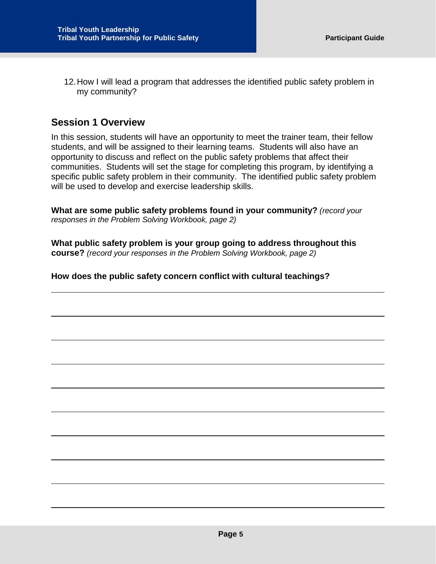12.How I will lead a program that addresses the identified public safety problem in my community?

## <span id="page-5-0"></span>**Session 1 Overview**

In this session, students will have an opportunity to meet the trainer team, their fellow students, and will be assigned to their learning teams. Students will also have an opportunity to discuss and reflect on the public safety problems that affect their communities. Students will set the stage for completing this program, by identifying a specific public safety problem in their community. The identified public safety problem will be used to develop and exercise leadership skills.

**What are some public safety problems found in your community?** *(record your responses in the Problem Solving Workbook, page 2)*

**What public safety problem is your group going to address throughout this course?** *(record your responses in the Problem Solving Workbook, page 2)*

#### **How does the public safety concern conflict with cultural teachings?**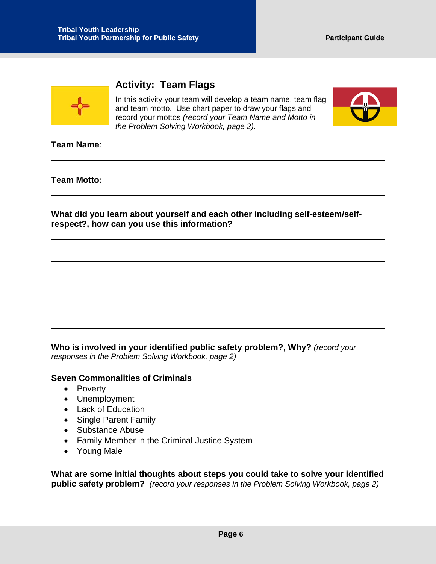

## <span id="page-6-0"></span>**Activity: Team Flags**

In this activity your team will develop a team name, team flag and team motto. Use chart paper to draw your flags and record your mottos *(record your Team Name and Motto in the Problem Solving Workbook, page 2).*



**Team Name**:

**Team Motto:**

**What did you learn about yourself and each other including self-esteem/selfrespect?, how can you use this information?**

**Who is involved in your identified public safety problem?, Why?** *(record your responses in the Problem Solving Workbook, page 2)*

#### **Seven Commonalities of Criminals**

- Poverty
- Unemployment
- Lack of Education
- Single Parent Family
- Substance Abuse
- Family Member in the Criminal Justice System
- Young Male

**What are some initial thoughts about steps you could take to solve your identified public safety problem?** *(record your responses in the Problem Solving Workbook, page 2)*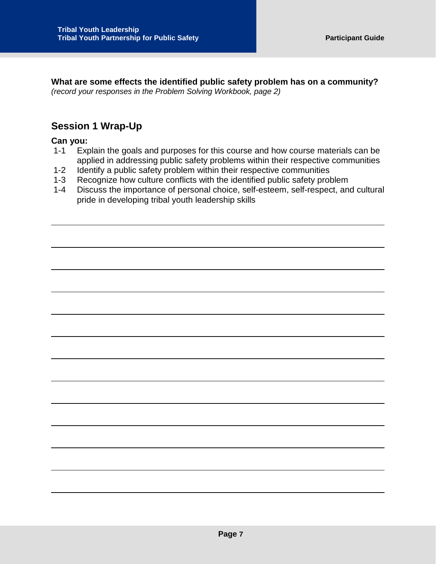**What are some effects the identified public safety problem has on a community?**  *(record your responses in the Problem Solving Workbook, page 2)*

## <span id="page-7-0"></span>**Session 1 Wrap-Up**

#### **Can you:**

- 1-1 Explain the goals and purposes for this course and how course materials can be applied in addressing public safety problems within their respective communities
- 1-2 Identify a public safety problem within their respective communities
- 1-3 Recognize how culture conflicts with the identified public safety problem
- 1-4 Discuss the importance of personal choice, self-esteem, self-respect, and cultural pride in developing tribal youth leadership skills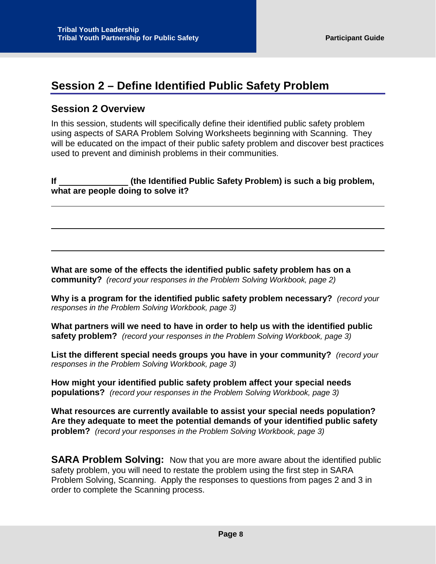## <span id="page-8-0"></span>**Session 2 – Define Identified Public Safety Problem**

## <span id="page-8-1"></span>**Session 2 Overview**

In this session, students will specifically define their identified public safety problem using aspects of SARA Problem Solving Worksheets beginning with Scanning. They will be educated on the impact of their public safety problem and discover best practices used to prevent and diminish problems in their communities.

#### **If (the Identified Public Safety Problem) is such a big problem, what are people doing to solve it?**

**What are some of the effects the identified public safety problem has on a community?** *(record your responses in the Problem Solving Workbook, page 2)*

**Why is a program for the identified public safety problem necessary?** *(record your responses in the Problem Solving Workbook, page 3)*

**What partners will we need to have in order to help us with the identified public safety problem?** *(record your responses in the Problem Solving Workbook, page 3)*

**List the different special needs groups you have in your community?** *(record your responses in the Problem Solving Workbook, page 3)*

**How might your identified public safety problem affect your special needs populations?** *(record your responses in the Problem Solving Workbook, page 3)*

**What resources are currently available to assist your special needs population? Are they adequate to meet the potential demands of your identified public safety problem?** *(record your responses in the Problem Solving Workbook, page 3)*

**SARA Problem Solving:** Now that you are more aware about the identified public safety problem, you will need to restate the problem using the first step in SARA Problem Solving, Scanning. Apply the responses to questions from pages 2 and 3 in order to complete the Scanning process.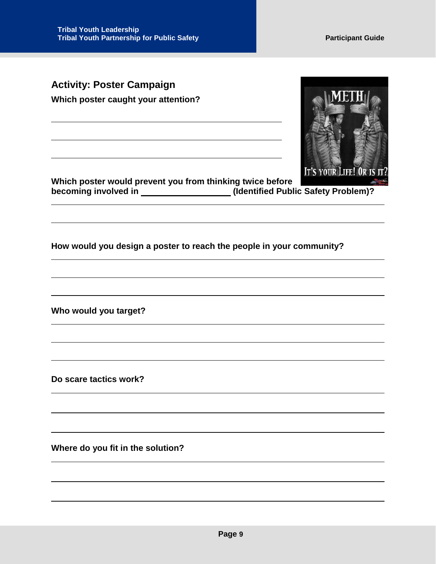<span id="page-9-0"></span>**Activity: Poster Campaign Which poster caught your attention?**



**Which poster would prevent you from thinking twice before becoming involved in \_\_\_\_\_\_\_\_\_\_\_\_\_\_\_\_\_\_\_(Identified Public Safety Problem)?** 

**How would you design a poster to reach the people in your community?**

**Who would you target?**

**Do scare tactics work?**

**Where do you fit in the solution?**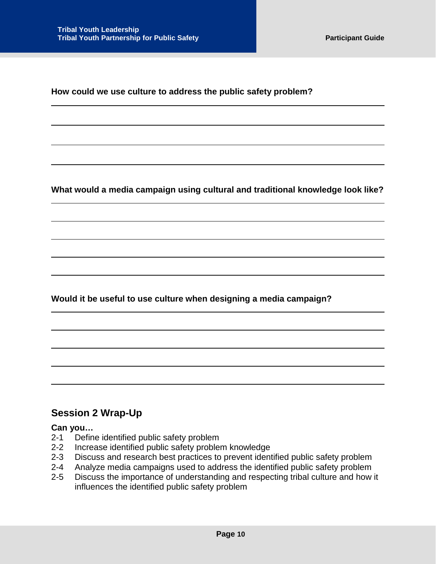**How could we use culture to address the public safety problem?**

**What would a media campaign using cultural and traditional knowledge look like?**

**Would it be useful to use culture when designing a media campaign?**

## <span id="page-10-0"></span>**Session 2 Wrap-Up**

#### **Can you…**

- 2-1 Define identified public safety problem<br>2-2 Increase identified public safety proble
- Increase identified public safety problem knowledge
- 2-3 Discuss and research best practices to prevent identified public safety problem
- 2-4 Analyze media campaigns used to address the identified public safety problem
- 2-5 Discuss the importance of understanding and respecting tribal culture and how it influences the identified public safety problem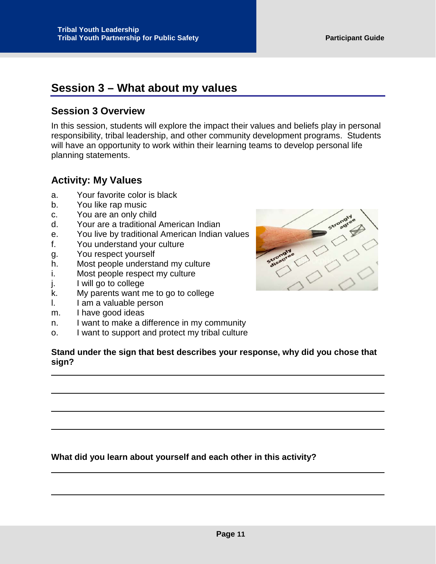## <span id="page-11-0"></span>**Session 3 – What about my values**

## <span id="page-11-1"></span>**Session 3 Overview**

In this session, students will explore the impact their values and beliefs play in personal responsibility, tribal leadership, and other community development programs. Students will have an opportunity to work within their learning teams to develop personal life planning statements.

## <span id="page-11-2"></span>**Activity: My Values**

- a. Your favorite color is black
- b. You like rap music
- c. You are an only child
- d. Your are a traditional American Indian
- e. You live by traditional American Indian values
- f. You understand your culture
- g. You respect yourself
- h. Most people understand my culture
- i. Most people respect my culture
- j. I will go to college
- k. My parents want me to go to college
- l. I am a valuable person
- m. I have good ideas
- n. I want to make a difference in my community
- o. I want to support and protect my tribal culture

#### **Stand under the sign that best describes your response, why did you chose that sign?**

**What did you learn about yourself and each other in this activity?**

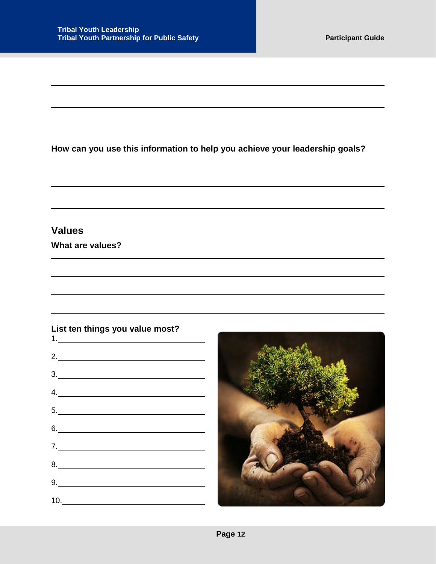**How can you use this information to help you achieve your leadership goals?**

## <span id="page-12-0"></span>**Values**

**What are values?**

#### **List ten things you value most?**

| $\begin{array}{c} \n\textbf{1,} \quad \textbf{2,} \quad \textbf{3,} \quad \textbf{4,} \quad \textbf{5,} \quad \textbf{6,} \quad \textbf{6,} \quad \textbf{7,} \quad \textbf{8,} \quad \textbf{8,} \quad \textbf{9,} \quad \textbf{10,} \quad \textbf{11,} \quad \textbf{12,} \quad \textbf{13,} \quad \textbf{14,} \quad \textbf{15,} \quad \textbf{16,} \quad \textbf{17,} \quad \textbf{18,} \quad \textbf{19,} \quad \textbf{19,} \quad \text$                    |  |  |
|----------------------------------------------------------------------------------------------------------------------------------------------------------------------------------------------------------------------------------------------------------------------------------------------------------------------------------------------------------------------------------------------------------------------------------------------------------------------|--|--|
| 2.                                                                                                                                                                                                                                                                                                                                                                                                                                                                   |  |  |
| $\begin{array}{c c c c c} \hline \rule{0pt}{16pt} \rule{0pt}{2.5ex} \rule{0pt}{2.5ex} \rule{0pt}{2.5ex} \rule{0pt}{2.5ex} \rule{0pt}{2.5ex} \rule{0pt}{2.5ex} \rule{0pt}{2.5ex} \rule{0pt}{2.5ex} \rule{0pt}{2.5ex} \rule{0pt}{2.5ex} \rule{0pt}{2.5ex} \rule{0pt}{2.5ex} \rule{0pt}{2.5ex} \rule{0pt}{2.5ex} \rule{0pt}{2.5ex} \rule{0pt}{2.5ex} \rule{0pt}{2.5ex} \rule{0pt$                                                                                       |  |  |
| 4.                                                                                                                                                                                                                                                                                                                                                                                                                                                                   |  |  |
| $\begin{array}{c c c c c} \hline \rule{0pt}{2ex} & \rule{0pt}{2ex} \multicolumn{3}{c}{} & \multicolumn{3}{c}{} & \multicolumn{3}{c}{} & \multicolumn{3}{c}{} & \multicolumn{3}{c}{} & \multicolumn{3}{c}{} & \multicolumn{3}{c}{} & \multicolumn{3}{c}{} & \multicolumn{3}{c}{} & \multicolumn{3}{c}{} & \multicolumn{3}{c}{} & \multicolumn{3}{c}{} & \multicolumn{3}{c}{} & \multicolumn{3}{c}{} & \multicolumn{3}{c}{} & \multicolumn{3}{c}{} & \multicolumn{3}{$ |  |  |
| 6.                                                                                                                                                                                                                                                                                                                                                                                                                                                                   |  |  |
| 7.                                                                                                                                                                                                                                                                                                                                                                                                                                                                   |  |  |
| $8. \qquad \qquad 8. \qquad \qquad 8. \qquad \qquad 8. \qquad \qquad 8. \qquad \qquad 8. \qquad \qquad 8. \qquad \qquad 8. \qquad \qquad 8. \qquad \qquad 8. \qquad \qquad 8. \qquad \qquad 8. \qquad \qquad 8. \qquad \qquad 8. \qquad \qquad 8. \qquad \qquad 8. \qquad \qquad 8. \qquad \qquad 8. \qquad \qquad 8. \qquad \qquad 8. \qquad \qquad 8. \qquad \qquad 8. \qquad \qquad 8. \qquad \qquad 8. \qquad \qquad 8. \q$                                      |  |  |
| 9.                                                                                                                                                                                                                                                                                                                                                                                                                                                                   |  |  |
|                                                                                                                                                                                                                                                                                                                                                                                                                                                                      |  |  |
|                                                                                                                                                                                                                                                                                                                                                                                                                                                                      |  |  |
|                                                                                                                                                                                                                                                                                                                                                                                                                                                                      |  |  |

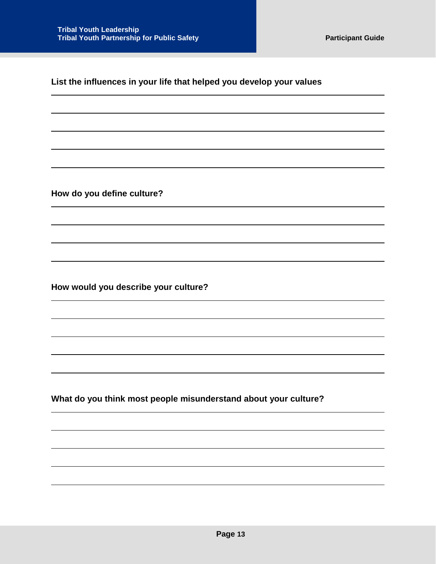**List the influences in your life that helped you develop your values**

**How do you define culture?**

**How would you describe your culture?**

**What do you think most people misunderstand about your culture?**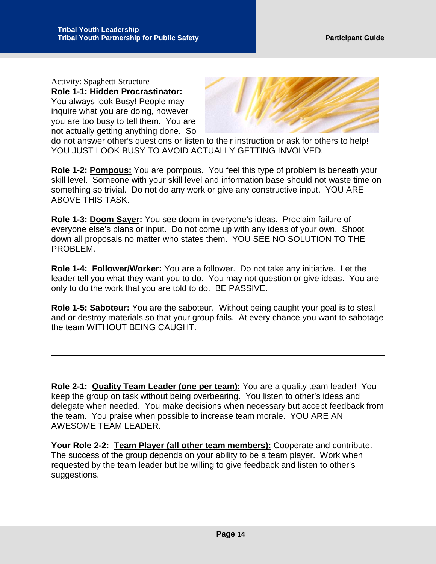Activity: Spaghetti Structure **Role 1-1: Hidden Procrastinator:** You always look Busy! People may inquire what you are doing, however you are too busy to tell them. You are not actually getting anything done. So



do not answer other's questions or listen to their instruction or ask for others to help! YOU JUST LOOK BUSY TO AVOID ACTUALLY GETTING INVOLVED.

**Role 1-2: Pompous:** You are pompous. You feel this type of problem is beneath your skill level. Someone with your skill level and information base should not waste time on something so trivial. Do not do any work or give any constructive input. YOU ARE ABOVE THIS TASK.

**Role 1-3: Doom Sayer:** You see doom in everyone's ideas. Proclaim failure of everyone else's plans or input. Do not come up with any ideas of your own. Shoot down all proposals no matter who states them. YOU SEE NO SOLUTION TO THE PROBLEM.

**Role 1-4: Follower/Worker:** You are a follower. Do not take any initiative. Let the leader tell you what they want you to do. You may not question or give ideas. You are only to do the work that you are told to do. BE PASSIVE.

**Role 1-5: Saboteur:** You are the saboteur. Without being caught your goal is to steal and or destroy materials so that your group fails. At every chance you want to sabotage the team WITHOUT BEING CAUGHT.

**Role 2-1: Quality Team Leader (one per team):** You are a quality team leader! You keep the group on task without being overbearing. You listen to other's ideas and delegate when needed. You make decisions when necessary but accept feedback from the team. You praise when possible to increase team morale. YOU ARE AN AWESOME TEAM LEADER.

**Your Role 2-2: Team Player (all other team members):** Cooperate and contribute. The success of the group depends on your ability to be a team player. Work when requested by the team leader but be willing to give feedback and listen to other's suggestions.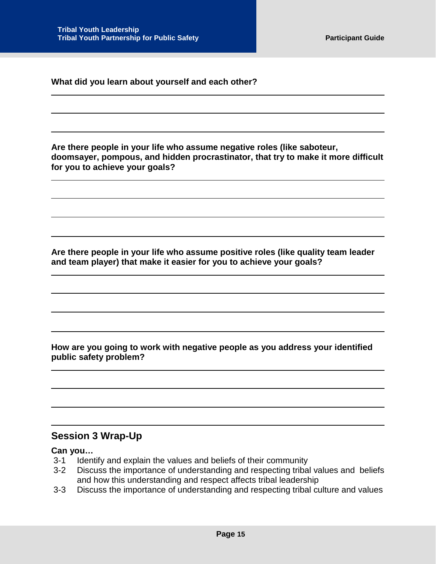**What did you learn about yourself and each other?**

**Are there people in your life who assume negative roles (like saboteur, doomsayer, pompous, and hidden procrastinator, that try to make it more difficult for you to achieve your goals?**

**Are there people in your life who assume positive roles (like quality team leader and team player) that make it easier for you to achieve your goals?**

**How are you going to work with negative people as you address your identified public safety problem?**

## <span id="page-15-0"></span>**Session 3 Wrap-Up**

#### **Can you…**

- 3-1 Identify and explain the values and beliefs of their community
- 3-2 Discuss the importance of understanding and respecting tribal values and beliefs and how this understanding and respect affects tribal leadership
- 3-3 Discuss the importance of understanding and respecting tribal culture and values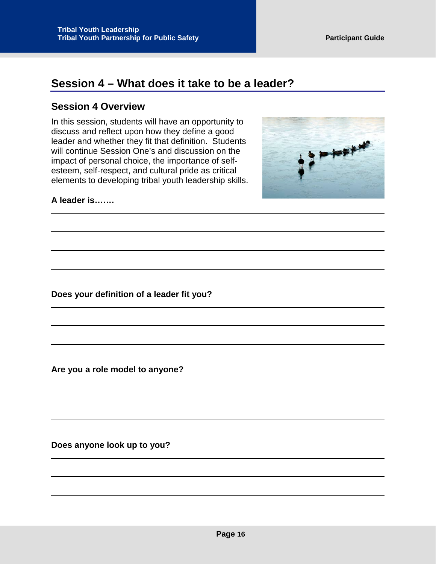## <span id="page-16-0"></span>**Session 4 – What does it take to be a leader?**

#### <span id="page-16-1"></span>**Session 4 Overview**

In this session, students will have an opportunity to discuss and reflect upon how they define a good leader and whether they fit that definition. Students will continue Session One's and discussion on the impact of personal choice, the importance of selfesteem, self-respect, and cultural pride as critical elements to developing tribal youth leadership skills.



#### **A leader is…….**

**Does your definition of a leader fit you?**

**Are you a role model to anyone?**

**Does anyone look up to you?**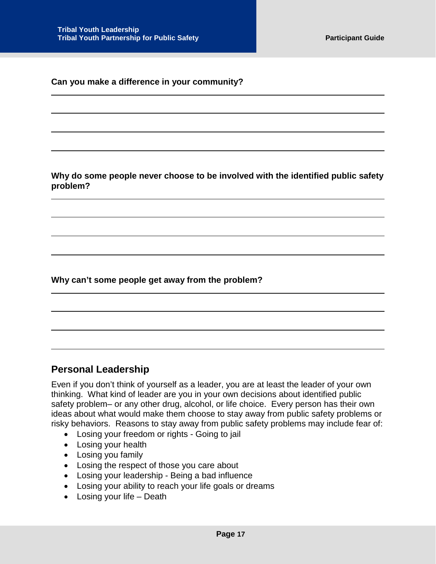#### **Can you make a difference in your community?**

**Why do some people never choose to be involved with the identified public safety problem?**

**Why can't some people get away from the problem?**

## <span id="page-17-0"></span>**Personal Leadership**

Even if you don't think of yourself as a leader, you are at least the leader of your own thinking. What kind of leader are you in your own decisions about identified public safety problem– or any other drug, alcohol, or life choice. Every person has their own ideas about what would make them choose to stay away from public safety problems or risky behaviors. Reasons to stay away from public safety problems may include fear of:

- Losing your freedom or rights Going to jail
- Losing your health
- Losing you family
- Losing the respect of those you care about
- Losing your leadership Being a bad influence
- Losing your ability to reach your life goals or dreams
- Losing your life Death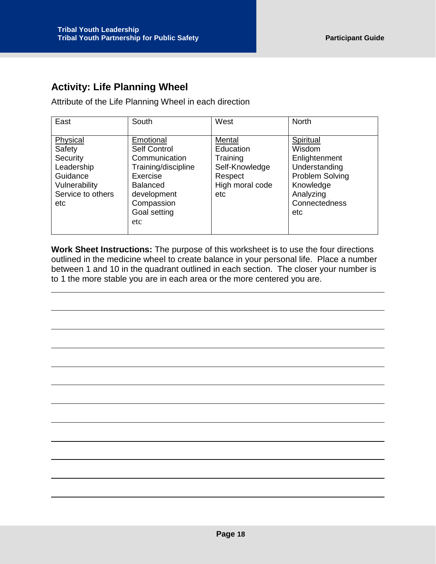## <span id="page-18-0"></span>**Activity: Life Planning Wheel**

Attribute of the Life Planning Wheel in each direction

| East              | South               | West            | <b>North</b>    |
|-------------------|---------------------|-----------------|-----------------|
|                   |                     |                 |                 |
| Physical          | Emotional           | Mental          | Spiritual       |
| Safety            | Self Control        | Education       | <b>Wisdom</b>   |
| Security          | Communication       | Training        | Enlightenment   |
| Leadership        | Training/discipline | Self-Knowledge  | Understanding   |
| Guidance          | Exercise            | Respect         | Problem Solving |
| Vulnerability     | <b>Balanced</b>     | High moral code | Knowledge       |
| Service to others | development         | etc             | Analyzing       |
| etc               | Compassion          |                 | Connectedness   |
|                   | Goal setting        |                 | etc             |
|                   | etc.                |                 |                 |
|                   |                     |                 |                 |

**Work Sheet Instructions:** The purpose of this worksheet is to use the four directions outlined in the medicine wheel to create balance in your personal life. Place a number between 1 and 10 in the quadrant outlined in each section. The closer your number is to 1 the more stable you are in each area or the more centered you are.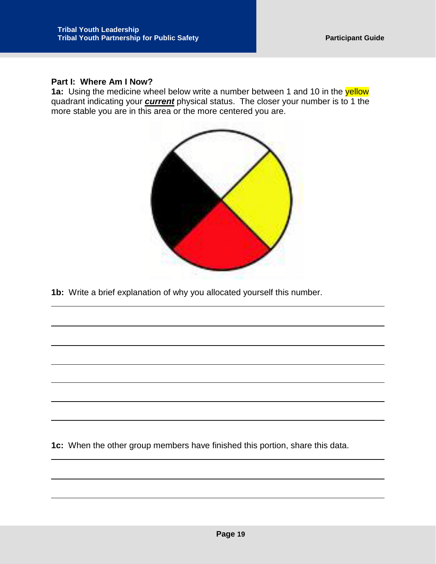#### **Part I: Where Am I Now?**

1a: Using the medicine wheel below write a number between 1 and 10 in the yellow quadrant indicating your *current* physical status. The closer your number is to 1 the more stable you are in this area or the more centered you are.



**1b:** Write a brief explanation of why you allocated yourself this number.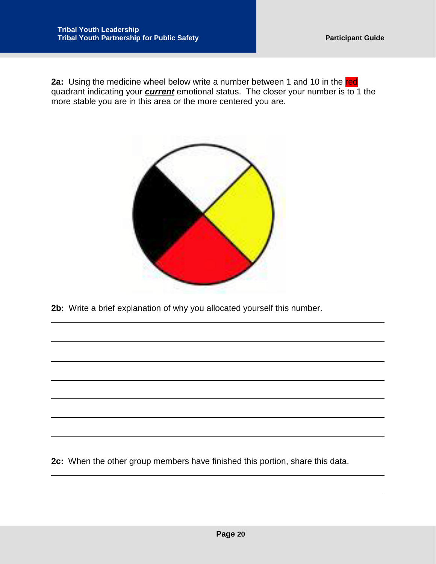**2a:** Using the medicine wheel below write a number between 1 and 10 in the red quadrant indicating your *current* emotional status. The closer your number is to 1 the more stable you are in this area or the more centered you are.



**2b:** Write a brief explanation of why you allocated yourself this number.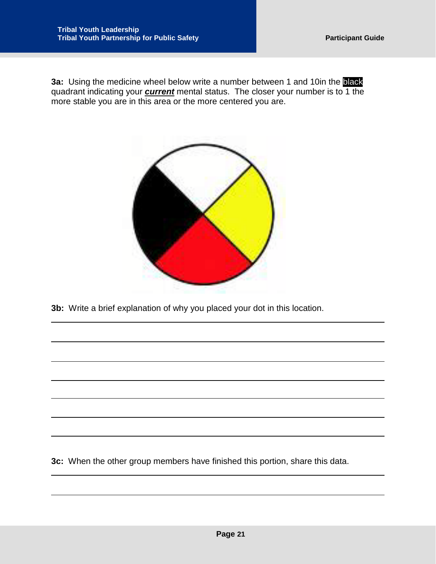**3a:** Using the medicine wheel below write a number between 1 and 10in the black quadrant indicating your *current* mental status. The closer your number is to 1 the more stable you are in this area or the more centered you are.



**3b:** Write a brief explanation of why you placed your dot in this location.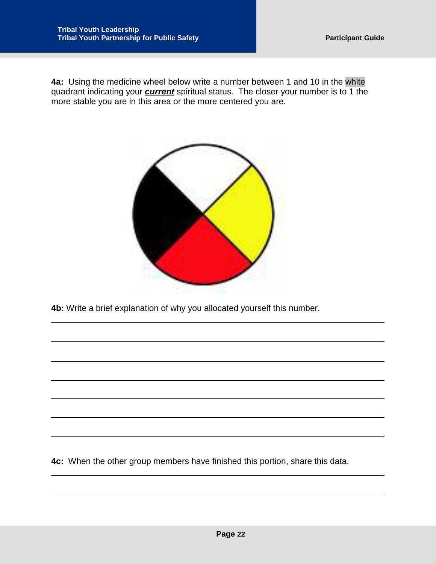**4a:** Using the medicine wheel below write a number between 1 and 10 in the white quadrant indicating your *current* spiritual status. The closer your number is to 1 the more stable you are in this area or the more centered you are.



**4b:** Write a brief explanation of why you allocated yourself this number.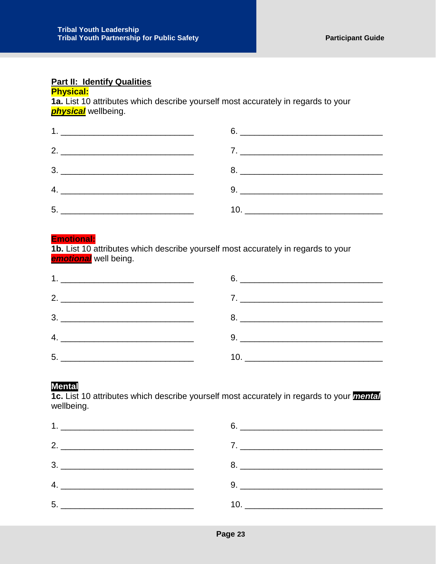## **Part II: Identify Qualities**

#### **Physical:**

**1a.** List 10 attributes which describe yourself most accurately in regards to your *physical* wellbeing.

#### **Emotional:**

**1b.** List 10 attributes which describe yourself most accurately in regards to your *emotional* well being.

| <u>5. __________________________________</u> |  |
|----------------------------------------------|--|

#### **Mental**

**1c.** List 10 attributes which describe yourself most accurately in regards to your *mental* wellbeing.

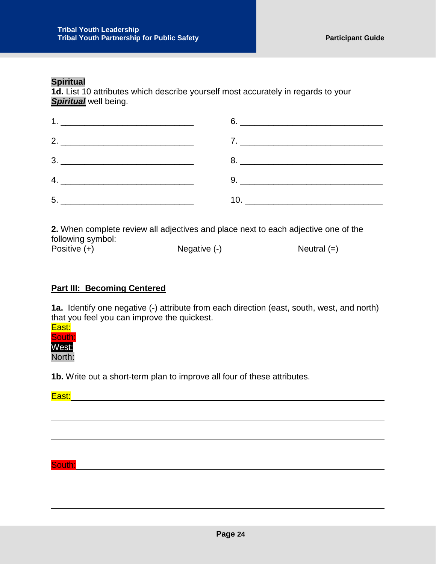#### **Spiritual**

**1d.** List 10 attributes which describe yourself most accurately in regards to your *Spiritual* well being.

**2.** When complete review all adjectives and place next to each adjective one of the following symbol: Positive (+)  $\qquad \qquad$  Negative (-)  $\qquad \qquad$  Neutral (=)

#### **Part III: Becoming Centered**

**1a.** Identify one negative (-) attribute from each direction (east, south, west, and north) that you feel you can improve the quickest.

#### East: South: West: North:

**1b.** Write out a short-term plan to improve all four of these attributes.

#### East: East: East: East: East: East: East: East: East: East: East: East: East: East: East: East: East: East: East: East: East: East: East: East: East: East: East: East: East: East: East: East: East: East: East: East: East:

South: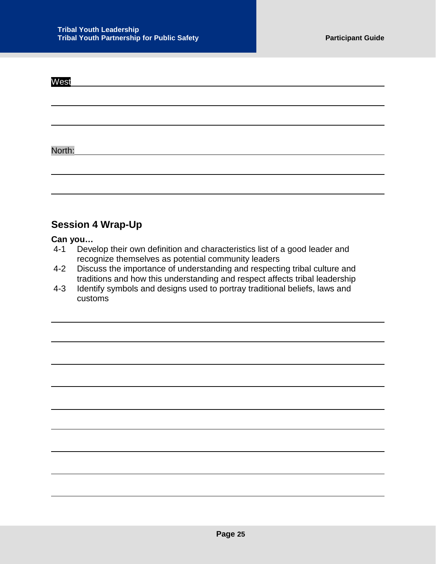| West                                                      |  |
|-----------------------------------------------------------|--|
|                                                           |  |
|                                                           |  |
|                                                           |  |
| North:<br><u> 1990 - John Stein, amerikansk politiker</u> |  |
|                                                           |  |

## <span id="page-25-0"></span>**Session 4 Wrap-Up**

# Can you...<br>4-1 Deve

- Develop their own definition and characteristics list of a good leader and recognize themselves as potential community leaders
- 4-2 Discuss the importance of understanding and respecting tribal culture and traditions and how this understanding and respect affects tribal leadership
- 4-3 Identify symbols and designs used to portray traditional beliefs, laws and customs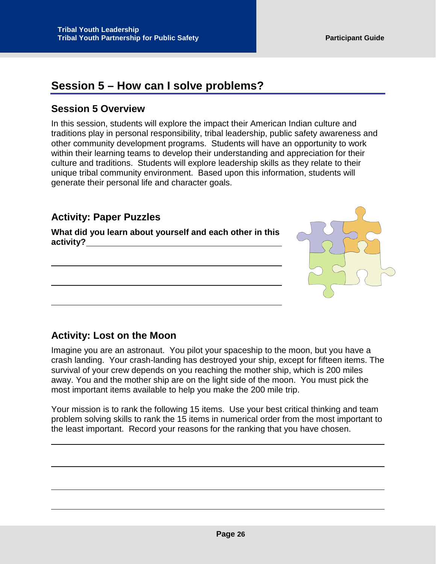## <span id="page-26-0"></span>**Session 5 – How can I solve problems?**

## <span id="page-26-1"></span>**Session 5 Overview**

In this session, students will explore the impact their American Indian culture and traditions play in personal responsibility, tribal leadership, public safety awareness and other community development programs. Students will have an opportunity to work within their learning teams to develop their understanding and appreciation for their culture and traditions. Students will explore leadership skills as they relate to their unique tribal community environment. Based upon this information, students will generate their personal life and character goals.

## <span id="page-26-2"></span>**Activity: Paper Puzzles**

**What did you learn about yourself and each other in this activity?**

## <span id="page-26-3"></span>**Activity: Lost on the Moon**

Imagine you are an astronaut. You pilot your spaceship to the moon, but you have a crash landing. Your crash-landing has destroyed your ship, except for fifteen items. The survival of your crew depends on you reaching the mother ship, which is 200 miles away. You and the mother ship are on the light side of the moon. You must pick the most important items available to help you make the 200 mile trip.

Your mission is to rank the following 15 items. Use your best critical thinking and team problem solving skills to rank the 15 items in numerical order from the most important to the least important. Record your reasons for the ranking that you have chosen.

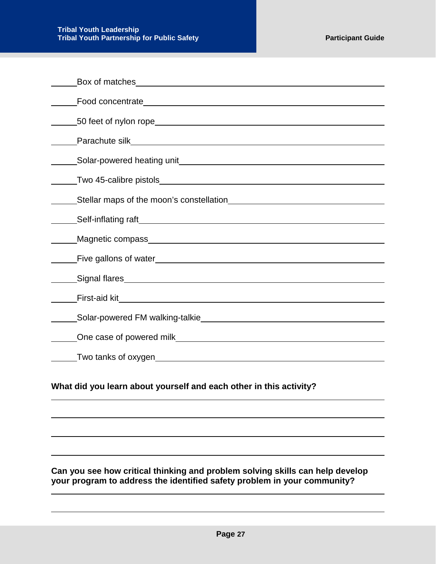| Stellar maps of the moon's constellation<br>Stellar maps of the moon's constellation |
|--------------------------------------------------------------------------------------|
|                                                                                      |
|                                                                                      |
| Five gallons of water <b>Example 2018</b> Five gallons of water                      |
|                                                                                      |
|                                                                                      |
|                                                                                      |
|                                                                                      |
|                                                                                      |

#### **Can you see how critical thinking and problem solving skills can help develop your program to address the identified safety problem in your community?**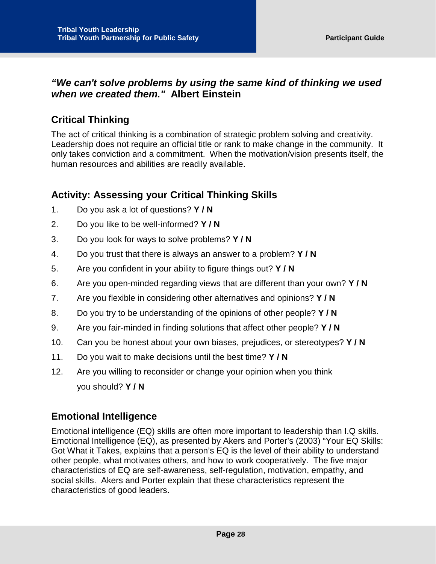## *"We can't solve problems by using the same kind of thinking we used when we created them."* **Albert Einstein**

## <span id="page-28-0"></span>**Critical Thinking**

The act of critical thinking is a combination of strategic problem solving and creativity. Leadership does not require an official title or rank to make change in the community. It only takes conviction and a commitment. When the motivation/vision presents itself, the human resources and abilities are readily available.

## <span id="page-28-1"></span>**Activity: Assessing your Critical Thinking Skills**

- 1. Do you ask a lot of questions? **Y / N**
- 2. Do you like to be well-informed? **Y / N**
- 3. Do you look for ways to solve problems? **Y / N**
- 4. Do you trust that there is always an answer to a problem? **Y / N**
- 5. Are you confident in your ability to figure things out? **Y / N**
- 6. Are you open-minded regarding views that are different than your own? **Y / N**
- 7. Are you flexible in considering other alternatives and opinions? **Y / N**
- 8. Do you try to be understanding of the opinions of other people? **Y / N**
- 9. Are you fair-minded in finding solutions that affect other people? **Y / N**
- 10. Can you be honest about your own biases, prejudices, or stereotypes? **Y / N**
- 11. Do you wait to make decisions until the best time? **Y / N**
- 12. Are you willing to reconsider or change your opinion when you think you should? **Y / N**

## <span id="page-28-2"></span>**Emotional Intelligence**

Emotional intelligence (EQ) skills are often more important to leadership than I.Q skills. Emotional Intelligence (EQ), as presented by Akers and Porter's (2003) "Your EQ Skills: Got What it Takes, explains that a person's EQ is the level of their ability to understand other people, what motivates others, and how to work cooperatively. The five major characteristics of EQ are self-awareness, self-regulation, motivation, empathy, and social skills. Akers and Porter explain that these characteristics represent the characteristics of good leaders.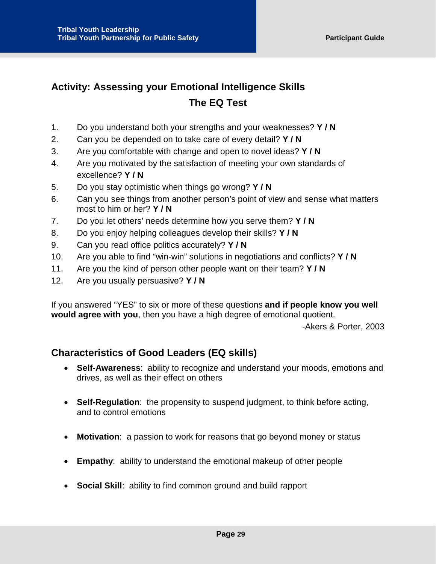## <span id="page-29-0"></span>**Activity: Assessing your Emotional Intelligence Skills The EQ Test**

- 1. Do you understand both your strengths and your weaknesses? **Y / N**
- 2. Can you be depended on to take care of every detail? **Y / N**
- 3. Are you comfortable with change and open to novel ideas? **Y / N**
- 4. Are you motivated by the satisfaction of meeting your own standards of excellence? **Y / N**
- 5. Do you stay optimistic when things go wrong? **Y / N**
- 6. Can you see things from another person's point of view and sense what matters most to him or her? **Y / N**
- 7. Do you let others' needs determine how you serve them? **Y / N**
- 8. Do you enjoy helping colleagues develop their skills? **Y / N**
- 9. Can you read office politics accurately? **Y / N**
- 10. Are you able to find "win-win" solutions in negotiations and conflicts? **Y / N**
- 11. Are you the kind of person other people want on their team? **Y / N**
- 12. Are you usually persuasive? **Y / N**

If you answered "YES" to six or more of these questions **and if people know you well would agree with you**, then you have a high degree of emotional quotient.

-Akers & Porter, 2003

## <span id="page-29-1"></span>**Characteristics of Good Leaders (EQ skills)**

- **Self-Awareness**: ability to recognize and understand your moods, emotions and drives, as well as their effect on others
- **Self-Regulation**: the propensity to suspend judgment, to think before acting, and to control emotions
- **Motivation**: a passion to work for reasons that go beyond money or status
- **Empathy**: ability to understand the emotional makeup of other people
- **Social Skill**: ability to find common ground and build rapport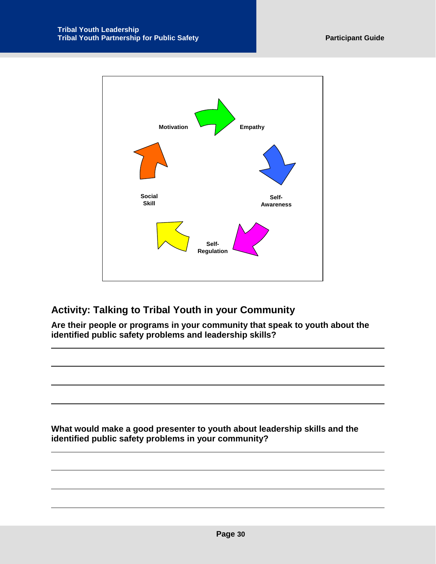

## <span id="page-30-0"></span>**Activity: Talking to Tribal Youth in your Community**

**Are their people or programs in your community that speak to youth about the identified public safety problems and leadership skills?**

**What would make a good presenter to youth about leadership skills and the identified public safety problems in your community?**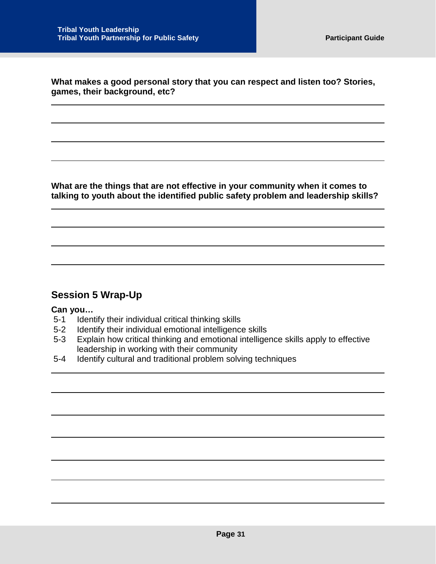**What makes a good personal story that you can respect and listen too? Stories, games, their background, etc?**

**What are the things that are not effective in your community when it comes to talking to youth about the identified public safety problem and leadership skills?** 

## <span id="page-31-0"></span>**Session 5 Wrap-Up**

#### **Can you…**

- 5-1 Identify their individual critical thinking skills
- 5-2 Identify their individual emotional intelligence skills
- 5-3 Explain how critical thinking and emotional intelligence skills apply to effective leadership in working with their community
- 5-4 Identify cultural and traditional problem solving techniques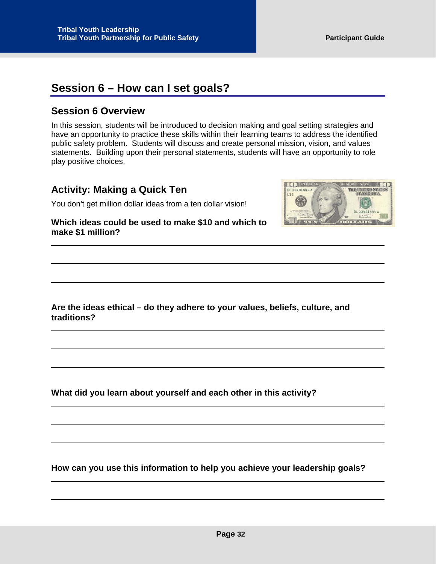## <span id="page-32-0"></span>**Session 6 – How can I set goals?**

## <span id="page-32-1"></span>**Session 6 Overview**

In this session, students will be introduced to decision making and goal setting strategies and have an opportunity to practice these skills within their learning teams to address the identified public safety problem. Students will discuss and create personal mission, vision, and values statements. Building upon their personal statements, students will have an opportunity to role play positive choices.

## <span id="page-32-2"></span>**Activity: Making a Quick Ten**

You don't get million dollar ideas from a ten dollar vision!

(D) DOMIN **CONTRACTOR** THE UNITED STATE DL 33481444 随 DL 33481444A 首席 DIMINIS  $\left| \cdot \right|$ 

**Which ideas could be used to make \$10 and which to make \$1 million?** 

**Are the ideas ethical – do they adhere to your values, beliefs, culture, and traditions?** 

**What did you learn about yourself and each other in this activity?**

**How can you use this information to help you achieve your leadership goals?**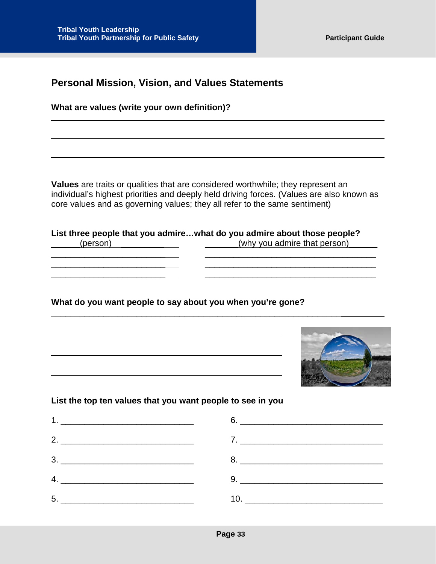<span id="page-33-0"></span>

**What are values (write your own definition)?** 

**Values** are traits or qualities that are considered worthwhile; they represent an individual's highest priorities and deeply held driving forces. (Values are also known as core values and as governing values; they all refer to the same sentiment)

 $\_$  ,  $\_$  ,  $\_$  ,  $\_$  ,  $\_$  ,  $\_$  ,  $\_$  ,  $\_$  ,  $\_$  ,  $\_$  ,  $\_$  ,  $\_$  ,  $\_$  ,  $\_$  ,  $\_$  ,  $\_$  ,  $\_$  ,  $\_$  ,  $\_$  ,  $\_$ \_\_\_\_\_\_\_\_\_\_\_\_\_\_\_\_\_\_\_\_\_\_\_\_ \_\_\_\_\_\_\_\_\_\_\_\_\_\_\_\_\_\_\_\_\_\_\_\_\_\_\_\_\_\_\_\_\_\_\_\_

**List three people that you admire…what do you admire about those people?** (person) \_\_\_\_\_\_\_\_\_\_\_\_\_\_\_\_\_\_\_\_\_\_\_\_(why you admire that person)

**What do you want people to say about you when you're gone?**

\_\_\_\_\_\_\_\_\_\_\_\_\_\_\_\_\_\_\_\_\_\_\_\_\_\_\_\_\_\_\_\_\_\_\_\_\_\_\_\_\_\_\_\_\_\_\_\_\_\_\_\_\_\_\_\_\_\_\_\_\_



\_\_\_\_\_\_\_\_\_\_\_\_\_\_\_\_\_\_\_\_\_\_\_\_ \_\_\_\_\_\_\_\_\_\_\_\_\_\_\_\_\_\_\_\_\_\_\_\_\_\_\_\_\_\_\_\_\_\_\_\_

#### **List the top ten values that you want people to see in you**

| <u>5. _________________________________</u> |  |
|---------------------------------------------|--|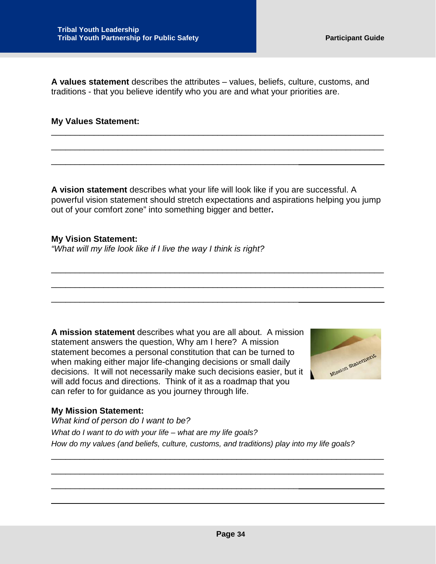**A values statement** describes the attributes – values, beliefs, culture, customs, and traditions - that you believe identify who you are and what your priorities are.

#### **My Values Statement:**

**A vision statement** describes what your life will look like if you are successful. A powerful vision statement should stretch expectations and aspirations helping you jump out of your comfort zone" into something bigger and better**.** 

\_\_\_\_\_\_\_\_\_\_\_\_\_\_\_\_\_\_\_\_\_\_\_\_\_\_\_\_\_\_\_\_\_\_\_\_\_\_\_\_\_\_\_\_\_\_\_\_\_\_\_\_\_\_\_\_\_\_\_\_\_\_\_\_\_\_\_\_\_\_

\_\_\_\_\_\_\_\_\_\_\_\_\_\_\_\_\_\_\_\_\_\_\_\_\_\_\_\_\_\_\_\_\_\_\_\_\_\_\_\_\_\_\_\_\_\_\_\_\_\_\_\_\_\_\_\_\_\_\_\_\_\_\_\_\_\_\_\_\_\_

\_\_\_\_\_\_\_\_\_\_\_\_\_\_\_\_\_\_\_\_\_\_\_\_\_\_\_\_\_\_\_\_\_\_\_\_\_\_\_\_\_\_\_\_\_\_\_\_\_\_\_\_\_\_\_\_\_\_\_\_\_\_\_\_\_\_\_\_\_\_

\_\_\_\_\_\_\_\_\_\_\_\_\_\_\_\_\_\_\_\_\_\_\_\_\_\_\_\_\_\_\_\_\_\_\_\_\_\_\_\_\_\_\_\_\_\_\_\_\_\_\_\_\_\_\_\_\_\_\_\_\_\_\_\_\_\_\_\_\_\_

#### **My Vision Statement:** *"What will my life look like if I live the way I think is right?*

\_\_\_\_\_\_\_\_\_\_\_\_\_\_\_\_\_\_\_\_\_\_\_\_\_\_\_\_\_\_\_\_\_\_\_\_\_\_\_\_\_\_\_\_\_\_\_\_\_\_\_\_

**A mission statement** describes what you are all about. A mission statement answers the question, Why am I here? A mission statement becomes a personal constitution that can be turned to when making either major life-changing decisions or small daily decisions. It will not necessarily make such decisions easier, but it will add focus and directions. Think of it as a roadmap that you can refer to for guidance as you journey through life.

\_\_\_\_\_\_\_\_\_\_\_\_\_\_\_\_\_\_\_\_\_\_\_\_\_\_\_\_\_\_\_\_\_\_\_\_\_\_\_\_\_\_\_\_\_\_\_\_\_\_\_\_

\_\_\_\_\_\_\_\_\_\_\_\_\_\_\_\_\_\_\_\_\_\_\_\_\_\_\_\_\_\_\_\_\_\_\_\_\_\_\_\_\_\_\_\_\_\_\_\_\_\_\_\_



#### **My Mission Statement:**

*What kind of person do I want to be? What do I want to do with your life – what are my life goals? How do my values (and beliefs, culture, customs, and traditions) play into my life goals?*

\_\_\_\_\_\_\_\_\_\_\_\_\_\_\_\_\_\_\_\_\_\_\_\_\_\_\_\_\_\_\_\_\_\_\_\_\_\_\_\_\_\_\_\_\_\_\_\_\_\_\_\_\_\_\_\_\_\_\_\_\_\_\_\_\_\_\_\_\_\_

\_\_\_\_\_\_\_\_\_\_\_\_\_\_\_\_\_\_\_\_\_\_\_\_\_\_\_\_\_\_\_\_\_\_\_\_\_\_\_\_\_\_\_\_\_\_\_\_\_\_\_\_\_\_\_\_\_\_\_\_\_\_\_\_\_\_\_\_\_\_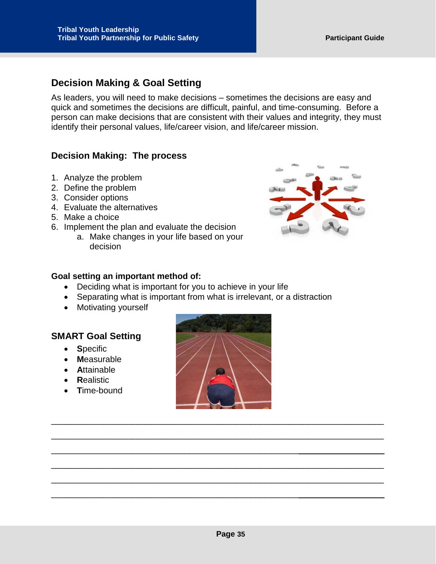## <span id="page-35-0"></span>**Decision Making & Goal Setting**

As leaders, you will need to make decisions – sometimes the decisions are easy and quick and sometimes the decisions are difficult, painful, and time-consuming. Before a person can make decisions that are consistent with their values and integrity, they must identify their personal values, life/career vision, and life/career mission.

#### **Decision Making: The process**

- 1. Analyze the problem
- 2. Define the problem
- 3. Consider options
- 4. Evaluate the alternatives
- 5. Make a choice
- 6. Implement the plan and evaluate the decision
	- a. Make changes in your life based on your decision



#### **Goal setting an important method of:**

• Deciding what is important for you to achieve in your life

\_\_\_\_\_\_\_\_\_\_\_\_\_\_\_\_\_\_\_\_\_\_\_\_\_\_\_\_\_\_\_\_\_\_\_\_\_\_\_\_\_\_\_\_\_\_\_\_\_\_\_\_

\_\_\_\_\_\_\_\_\_\_\_\_\_\_\_\_\_\_\_\_\_\_\_\_\_\_\_\_\_\_\_\_\_\_\_\_\_\_\_\_\_\_\_\_\_\_\_\_\_\_\_\_

- Separating what is important from what is irrelevant, or a distraction
- Motivating yourself

#### **SMART Goal Setting**

- **S**pecific
- **M**easurable
- **A**ttainable
- **R**ealistic
- **T**ime-bound



\_\_\_\_\_\_\_\_\_\_\_\_\_\_\_\_\_\_\_\_\_\_\_\_\_\_\_\_\_\_\_\_\_\_\_\_\_\_\_\_\_\_\_\_\_\_\_\_\_\_\_\_\_\_\_\_\_\_\_\_\_\_\_\_\_\_\_\_\_\_

\_\_\_\_\_\_\_\_\_\_\_\_\_\_\_\_\_\_\_\_\_\_\_\_\_\_\_\_\_\_\_\_\_\_\_\_\_\_\_\_\_\_\_\_\_\_\_\_\_\_\_\_\_\_\_\_\_\_\_\_\_\_\_\_\_\_\_\_\_\_

\_\_\_\_\_\_\_\_\_\_\_\_\_\_\_\_\_\_\_\_\_\_\_\_\_\_\_\_\_\_\_\_\_\_\_\_\_\_\_\_\_\_\_\_\_\_\_\_\_\_\_\_\_\_\_\_\_\_\_\_\_\_\_\_\_\_\_\_\_\_

\_\_\_\_\_\_\_\_\_\_\_\_\_\_\_\_\_\_\_\_\_\_\_\_\_\_\_\_\_\_\_\_\_\_\_\_\_\_\_\_\_\_\_\_\_\_\_\_\_\_\_\_\_\_\_\_\_\_\_\_\_\_\_\_\_\_\_\_\_\_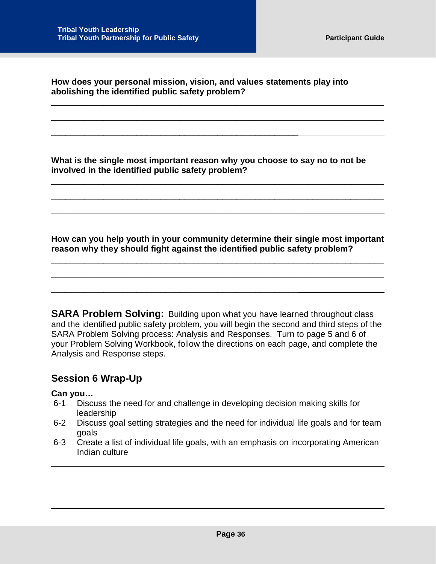**How does your personal mission, vision, and values statements play into abolishing the identified public safety problem?**

\_\_\_\_\_\_\_\_\_\_\_\_\_\_\_\_\_\_\_\_\_\_\_\_\_\_\_\_\_\_\_\_\_\_\_\_\_\_\_\_\_\_\_\_\_\_\_\_\_\_\_\_

\_\_\_\_\_\_\_\_\_\_\_\_\_\_\_\_\_\_\_\_\_\_\_\_\_\_\_\_\_\_\_\_\_\_\_\_\_\_\_\_\_\_\_\_\_\_\_\_\_\_\_\_

\_\_\_\_\_\_\_\_\_\_\_\_\_\_\_\_\_\_\_\_\_\_\_\_\_\_\_\_\_\_\_\_\_\_\_\_\_\_\_\_\_\_\_\_\_\_\_\_\_\_\_\_

\_\_\_\_\_\_\_\_\_\_\_\_\_\_\_\_\_\_\_\_\_\_\_\_\_\_\_\_\_\_\_\_\_\_\_\_\_\_\_\_\_\_\_\_\_\_\_\_\_\_\_\_\_\_\_\_\_\_\_\_\_\_\_\_\_\_\_\_\_\_

\_\_\_\_\_\_\_\_\_\_\_\_\_\_\_\_\_\_\_\_\_\_\_\_\_\_\_\_\_\_\_\_\_\_\_\_\_\_\_\_\_\_\_\_\_\_\_\_\_\_\_\_\_\_\_\_\_\_\_\_\_\_\_\_\_\_\_\_\_\_

**What is the single most important reason why you choose to say no to not be involved in the identified public safety problem?**

\_\_\_\_\_\_\_\_\_\_\_\_\_\_\_\_\_\_\_\_\_\_\_\_\_\_\_\_\_\_\_\_\_\_\_\_\_\_\_\_\_\_\_\_\_\_\_\_\_\_\_\_\_\_\_\_\_\_\_\_\_\_\_\_\_\_\_\_\_\_

\_\_\_\_\_\_\_\_\_\_\_\_\_\_\_\_\_\_\_\_\_\_\_\_\_\_\_\_\_\_\_\_\_\_\_\_\_\_\_\_\_\_\_\_\_\_\_\_\_\_\_\_\_\_\_\_\_\_\_\_\_\_\_\_\_\_\_\_\_\_

**How can you help youth in your community determine their single most important reason why they should fight against the identified public safety problem?**

\_\_\_\_\_\_\_\_\_\_\_\_\_\_\_\_\_\_\_\_\_\_\_\_\_\_\_\_\_\_\_\_\_\_\_\_\_\_\_\_\_\_\_\_\_\_\_\_\_\_\_\_\_\_\_\_\_\_\_\_\_\_\_\_\_\_\_\_\_\_

\_\_\_\_\_\_\_\_\_\_\_\_\_\_\_\_\_\_\_\_\_\_\_\_\_\_\_\_\_\_\_\_\_\_\_\_\_\_\_\_\_\_\_\_\_\_\_\_\_\_\_\_\_\_\_\_\_\_\_\_\_\_\_\_\_\_\_\_\_\_

**SARA Problem Solving:** Building upon what you have learned throughout class and the identified public safety problem, you will begin the second and third steps of the SARA Problem Solving process: Analysis and Responses. Turn to page 5 and 6 of your Problem Solving Workbook, follow the directions on each page, and complete the Analysis and Response steps.

## <span id="page-36-0"></span>**Session 6 Wrap-Up**

#### **Can you…**

- 6-1 Discuss the need for and challenge in developing decision making skills for leadership
- 6-2 Discuss goal setting strategies and the need for individual life goals and for team goals
- 6-3 Create a list of individual life goals, with an emphasis on incorporating American Indian culture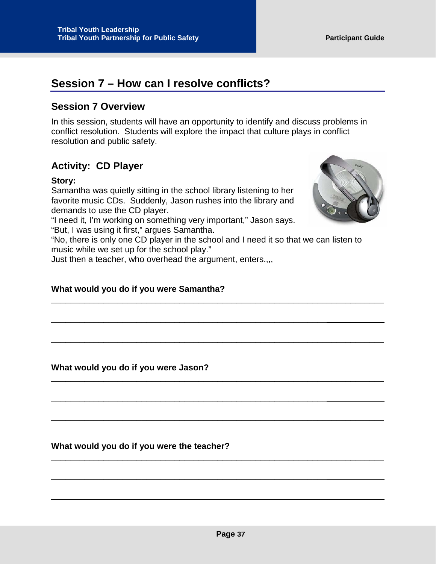## <span id="page-37-0"></span>**Session 7 – How can I resolve conflicts?**

## <span id="page-37-1"></span>**Session 7 Overview**

In this session, students will have an opportunity to identify and discuss problems in conflict resolution. Students will explore the impact that culture plays in conflict resolution and public safety.

## <span id="page-37-2"></span>**Activity: CD Player**

#### **Story:**

Samantha was quietly sitting in the school library listening to her favorite music CDs. Suddenly, Jason rushes into the library and demands to use the CD player.



"No, there is only one CD player in the school and I need it so that we can listen to music while we set up for the school play."

\_\_\_\_\_\_\_\_\_\_\_\_\_\_\_\_\_\_\_\_\_\_\_\_\_\_\_\_\_\_\_\_\_\_\_\_\_\_\_\_\_\_\_\_\_\_\_\_\_\_\_\_\_\_\_\_\_\_\_\_\_\_\_\_\_\_\_\_\_\_

\_\_\_\_\_\_\_\_\_\_\_\_\_\_\_\_\_\_\_\_\_\_\_\_\_\_\_\_\_\_\_\_\_\_\_\_\_\_\_\_\_\_\_\_\_\_\_\_\_\_\_\_\_\_\_\_\_\_\_\_\_\_\_\_\_\_\_\_\_\_

\_\_\_\_\_\_\_\_\_\_\_\_\_\_\_\_\_\_\_\_\_\_\_\_\_\_\_\_\_\_\_\_\_\_\_\_\_\_\_\_\_\_\_\_\_\_\_\_\_\_\_\_\_\_\_\_\_\_\_\_\_\_\_\_\_\_\_\_\_\_

\_\_\_\_\_\_\_\_\_\_\_\_\_\_\_\_\_\_\_\_\_\_\_\_\_\_\_\_\_\_\_\_\_\_\_\_\_\_\_\_\_\_\_\_\_\_\_\_\_\_\_\_\_\_\_\_\_\_\_\_\_\_\_\_\_\_\_\_\_\_

\_\_\_\_\_\_\_\_\_\_\_\_\_\_\_\_\_\_\_\_\_\_\_\_\_\_\_\_\_\_\_\_\_\_\_\_\_\_\_\_\_\_\_\_\_\_\_\_\_\_\_\_\_\_\_\_\_\_\_\_\_\_\_\_\_\_\_\_\_\_

\_\_\_\_\_\_\_\_\_\_\_\_\_\_\_\_\_\_\_\_\_\_\_\_\_\_\_\_\_\_\_\_\_\_\_\_\_\_\_\_\_\_\_\_\_\_\_\_\_\_\_\_\_\_\_\_\_\_

\_\_\_\_\_\_\_\_\_\_\_\_\_\_\_\_\_\_\_\_\_\_\_\_\_\_\_\_\_\_\_\_\_\_\_\_\_\_\_\_\_\_\_\_\_\_\_\_\_\_\_\_\_\_\_\_\_\_

\_\_\_\_\_\_\_\_\_\_\_\_\_\_\_\_\_\_\_\_\_\_\_\_\_\_\_\_\_\_\_\_\_\_\_\_\_\_\_\_\_\_\_\_\_\_\_\_\_\_\_\_\_\_\_\_\_\_

Just then a teacher, who overhead the argument, enters.,,,

#### **What would you do if you were Samantha?**

**What would you do if you were Jason?**

**What would you do if you were the teacher?**

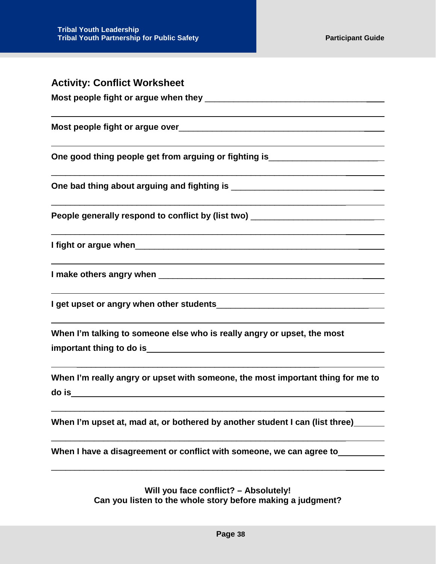<span id="page-38-0"></span>

| <b>Activity: Conflict Worksheet</b>                                                      |
|------------------------------------------------------------------------------------------|
|                                                                                          |
|                                                                                          |
| One good thing people get from arguing or fighting is___________________________         |
|                                                                                          |
| People generally respond to conflict by (list two) _____________________________         |
|                                                                                          |
|                                                                                          |
|                                                                                          |
| When I'm talking to someone else who is really angry or upset, the most                  |
| When I'm really angry or upset with someone, the most important thing for me to<br>do is |
| When I'm upset at, mad at, or bothered by another student I can (list three)             |
| When I have a disagreement or conflict with someone, we can agree to                     |
| Will you face conflict? - Absolutely!                                                    |

**Can you listen to the whole story before making a judgment?**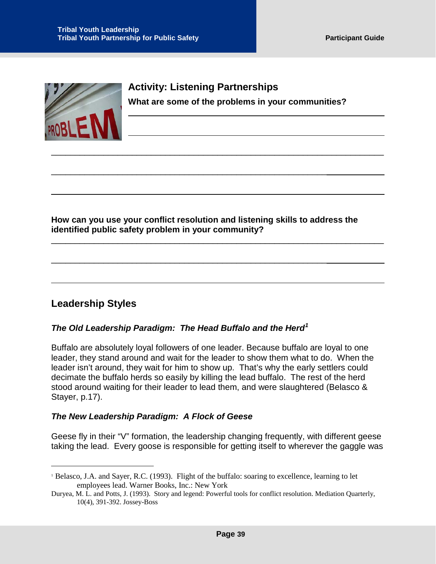

## <span id="page-39-0"></span>**Activity: Listening Partnerships What are some of the problems in your communities?**

**How can you use your conflict resolution and listening skills to address the identified public safety problem in your community?**

\_\_\_\_\_\_\_\_\_\_\_\_\_\_\_\_\_\_\_\_\_\_\_\_\_\_\_\_\_\_\_\_\_\_\_\_\_\_\_\_\_\_\_\_\_\_\_\_\_\_\_\_\_\_\_\_\_\_\_\_\_\_\_\_\_\_\_\_\_\_

\_\_\_\_\_\_\_\_\_\_\_\_\_\_\_\_\_\_\_\_\_\_\_\_\_\_\_\_\_\_\_\_\_\_\_\_\_\_\_\_\_\_\_\_\_\_\_\_\_\_\_\_\_\_\_\_\_\_

\_\_\_\_\_\_\_\_\_\_\_\_\_\_\_\_\_\_\_\_\_\_\_\_\_\_\_\_\_\_\_\_\_\_\_\_\_\_\_\_\_\_\_\_\_\_\_\_\_\_\_\_\_\_\_\_\_\_

\_\_\_\_\_\_\_\_\_\_\_\_\_\_\_\_\_\_\_\_\_\_\_\_\_\_\_\_\_\_\_\_\_\_\_\_\_\_\_\_\_\_\_\_\_\_\_\_\_\_\_\_\_\_\_\_\_\_\_\_\_\_\_\_\_\_\_\_\_\_

## <span id="page-39-1"></span>**Leadership Styles**

 $\ddot{\phantom{a}}$ 

#### *The Old Leadership Paradigm: The Head Buffalo and the Herd[1](#page-39-2)*

Buffalo are absolutely loyal followers of one leader. Because buffalo are loyal to one leader, they stand around and wait for the leader to show them what to do. When the leader isn't around, they wait for him to show up. That's why the early settlers could decimate the buffalo herds so easily by killing the lead buffalo. The rest of the herd stood around waiting for their leader to lead them, and were slaughtered (Belasco & Stayer, p.17).

#### *The New Leadership Paradigm: A Flock of Geese*

Geese fly in their "V" formation, the leadership changing frequently, with different geese taking the lead. Every goose is responsible for getting itself to wherever the gaggle was

<span id="page-39-2"></span><sup>1</sup> Belasco, J.A. and Sayer, R.C. (1993). Flight of the buffalo: soaring to excellence, learning to let employees lead. Warner Books, Inc.: New York

Duryea, M. L. and Potts, J. (1993). Story and legend: Powerful tools for conflict resolution. Mediation Quarterly, 10(4), 391-392. Jossey-Boss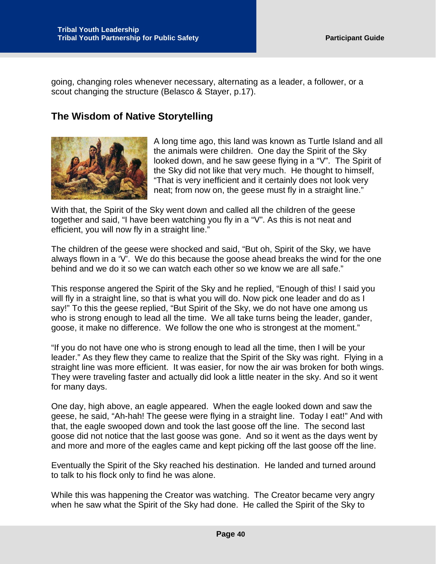going, changing roles whenever necessary, alternating as a leader, a follower, or a scout changing the structure (Belasco & Stayer, p.17).

## <span id="page-40-0"></span>**The Wisdom of Native Storytelling**



A long time ago, this land was known as Turtle Island and all the animals were children. One day the Spirit of the Sky looked down, and he saw geese flying in a "V". The Spirit of the Sky did not like that very much. He thought to himself, "That is very inefficient and it certainly does not look very neat; from now on, the geese must fly in a straight line."

With that, the Spirit of the Sky went down and called all the children of the geese together and said, "I have been watching you fly in a "V". As this is not neat and efficient, you will now fly in a straight line."

The children of the geese were shocked and said, "But oh, Spirit of the Sky, we have always flown in a 'V'. We do this because the goose ahead breaks the wind for the one behind and we do it so we can watch each other so we know we are all safe."

This response angered the Spirit of the Sky and he replied, "Enough of this! I said you will fly in a straight line, so that is what you will do. Now pick one leader and do as I say!" To this the geese replied, "But Spirit of the Sky, we do not have one among us who is strong enough to lead all the time. We all take turns being the leader, gander, goose, it make no difference. We follow the one who is strongest at the moment."

"If you do not have one who is strong enough to lead all the time, then I will be your leader." As they flew they came to realize that the Spirit of the Sky was right. Flying in a straight line was more efficient. It was easier, for now the air was broken for both wings. They were traveling faster and actually did look a little neater in the sky. And so it went for many days.

One day, high above, an eagle appeared. When the eagle looked down and saw the geese, he said, "Ah-hah! The geese were flying in a straight line. Today I eat!" And with that, the eagle swooped down and took the last goose off the line. The second last goose did not notice that the last goose was gone. And so it went as the days went by and more and more of the eagles came and kept picking off the last goose off the line.

Eventually the Spirit of the Sky reached his destination. He landed and turned around to talk to his flock only to find he was alone.

While this was happening the Creator was watching. The Creator became very angry when he saw what the Spirit of the Sky had done. He called the Spirit of the Sky to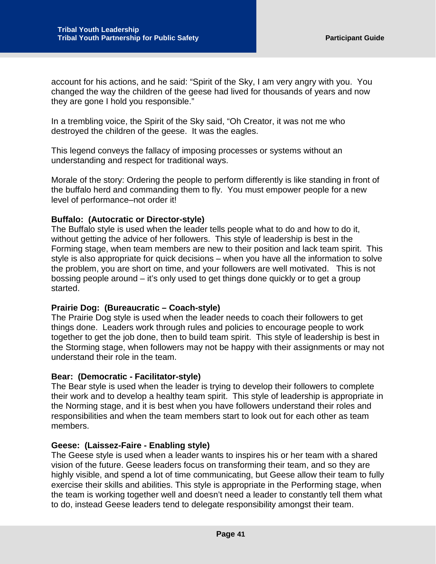account for his actions, and he said: "Spirit of the Sky, I am very angry with you. You changed the way the children of the geese had lived for thousands of years and now they are gone I hold you responsible."

In a trembling voice, the Spirit of the Sky said, "Oh Creator, it was not me who destroyed the children of the geese. It was the eagles.

This legend conveys the fallacy of imposing processes or systems without an understanding and respect for traditional ways.

Morale of the story: Ordering the people to perform differently is like standing in front of the buffalo herd and commanding them to fly. You must empower people for a new level of performance–not order it!

#### **Buffalo: (Autocratic or Director-style)**

The Buffalo style is used when the leader tells people what to do and how to do it, without getting the advice of her followers. This style of leadership is best in the Forming stage, when team members are new to their position and lack team spirit. This style is also appropriate for quick decisions – when you have all the information to solve the problem, you are short on time, and your followers are well motivated. This is not bossing people around – it's only used to get things done quickly or to get a group started.

#### **Prairie Dog: (Bureaucratic – Coach-style)**

The Prairie Dog style is used when the leader needs to coach their followers to get things done. Leaders work through rules and policies to encourage people to work together to get the job done, then to build team spirit. This style of leadership is best in the Storming stage, when followers may not be happy with their assignments or may not understand their role in the team.

#### **Bear: (Democratic - Facilitator-style)**

The Bear style is used when the leader is trying to develop their followers to complete their work and to develop a healthy team spirit. This style of leadership is appropriate in the Norming stage, and it is best when you have followers understand their roles and responsibilities and when the team members start to look out for each other as team members.

#### **Geese: (Laissez-Faire - Enabling style)**

The Geese style is used when a leader wants to inspires his or her team with a shared vision of the future. Geese leaders focus on transforming their team, and so they are highly visible, and spend a lot of time communicating, but Geese allow their team to fully exercise their skills and abilities. This style is appropriate in the Performing stage, when the team is working together well and doesn't need a leader to constantly tell them what to do, instead Geese leaders tend to delegate responsibility amongst their team.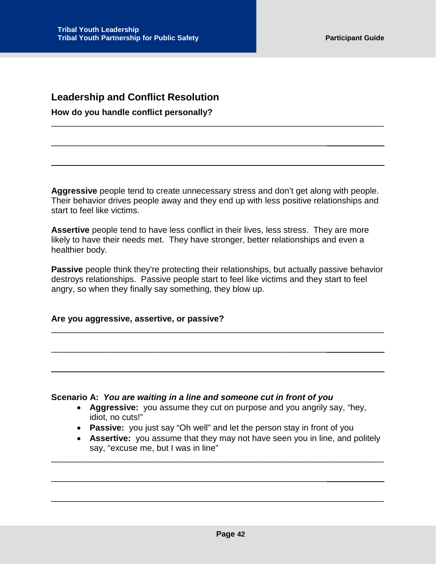## <span id="page-42-0"></span>**Leadership and Conflict Resolution**

**How do you handle conflict personally?**

**Aggressive** people tend to create unnecessary stress and don't get along with people. Their behavior drives people away and they end up with less positive relationships and start to feel like victims.

\_\_\_\_\_\_\_\_\_\_\_\_\_\_\_\_\_\_\_\_\_\_\_\_\_\_\_\_\_\_\_\_\_\_\_\_\_\_\_\_\_\_\_\_\_\_\_\_\_\_\_\_\_\_\_\_\_\_\_\_\_\_\_\_\_\_\_\_\_\_

\_\_\_\_\_\_\_\_\_\_\_\_\_\_\_\_\_\_\_\_\_\_\_\_\_\_\_\_\_\_\_\_\_\_\_\_\_\_\_\_\_\_\_\_\_\_\_\_\_\_\_\_\_\_\_\_\_\_

Assertive people tend to have less conflict in their lives, less stress. They are more likely to have their needs met. They have stronger, better relationships and even a healthier body.

**Passive** people think they're protecting their relationships, but actually passive behavior destroys relationships. Passive people start to feel like victims and they start to feel angry, so when they finally say something, they blow up.

\_\_\_\_\_\_\_\_\_\_\_\_\_\_\_\_\_\_\_\_\_\_\_\_\_\_\_\_\_\_\_\_\_\_\_\_\_\_\_\_\_\_\_\_\_\_\_\_\_\_\_\_\_\_\_\_\_\_\_\_\_\_\_\_\_\_\_\_\_\_

**Are you aggressive, assertive, or passive?**

#### **Scenario A:** *You are waiting in a line and someone cut in front of you*

\_\_\_\_\_\_\_\_\_\_\_\_\_\_\_\_\_\_\_\_\_\_\_\_\_\_\_\_\_\_\_\_\_\_\_\_\_\_\_\_\_\_\_\_\_\_\_\_\_\_\_\_\_\_\_\_\_\_

\_\_\_\_\_\_\_\_\_\_\_\_\_\_\_\_\_\_\_\_\_\_\_\_\_\_\_\_\_\_\_\_\_\_\_\_\_\_\_\_\_\_\_\_\_\_\_\_\_\_\_\_\_\_\_\_\_\_

- **Aggressive:** you assume they cut on purpose and you angrily say, "hey, idiot, no cuts!"
- **Passive:** you just say "Oh well" and let the person stay in front of you

\_\_\_\_\_\_\_\_\_\_\_\_\_\_\_\_\_\_\_\_\_\_\_\_\_\_\_\_\_\_\_\_\_\_\_\_\_\_\_\_\_\_\_\_\_\_\_\_\_\_\_\_\_\_\_\_\_\_\_\_\_\_\_\_\_\_\_\_\_\_

\_\_\_\_\_\_\_\_\_\_\_\_\_\_\_\_\_\_\_\_\_\_\_\_\_\_\_\_\_\_\_\_\_\_\_\_\_\_\_\_\_\_\_\_\_\_\_\_\_\_\_\_\_\_\_\_\_\_\_\_\_\_\_\_\_\_\_\_\_\_

• **Assertive:** you assume that they may not have seen you in line, and politely say, "excuse me, but I was in line"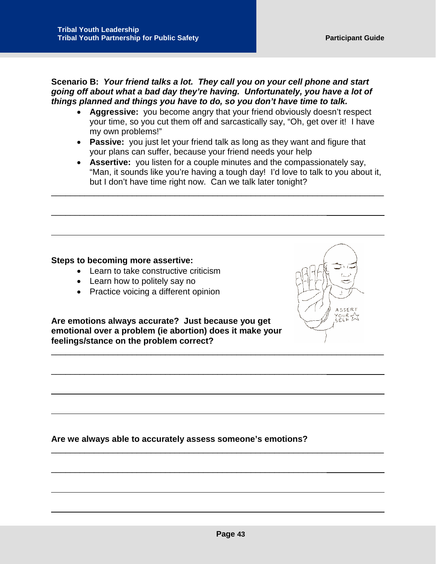**Scenario B:** *Your friend talks a lot. They call you on your cell phone and start going off about what a bad day they're having. Unfortunately, you have a lot of things planned and things you have to do, so you don't have time to talk.*

- **Aggressive:** you become angry that your friend obviously doesn't respect your time, so you cut them off and sarcastically say, "Oh, get over it! I have my own problems!"
- **Passive:** you just let your friend talk as long as they want and figure that your plans can suffer, because your friend needs your help

\_\_\_\_\_\_\_\_\_\_\_\_\_\_\_\_\_\_\_\_\_\_\_\_\_\_\_\_\_\_\_\_\_\_\_\_\_\_\_\_\_\_\_\_\_\_\_\_\_\_\_\_\_\_\_\_\_\_\_\_\_\_\_\_\_\_\_\_\_\_

\_\_\_\_\_\_\_\_\_\_\_\_\_\_\_\_\_\_\_\_\_\_\_\_\_\_\_\_\_\_\_\_\_\_\_\_\_\_\_\_\_\_\_\_\_\_\_\_\_\_\_\_\_\_\_\_\_\_

• **Assertive:** you listen for a couple minutes and the compassionately say, "Man, it sounds like you're having a tough day! I'd love to talk to you about it, but I don't have time right now. Can we talk later tonight?

#### **Steps to becoming more assertive:**

- Learn to take constructive criticism
- Learn how to politely say no
- Practice voicing a different opinion

**Are emotions always accurate? Just because you get emotional over a problem (ie abortion) does it make your feelings/stance on the problem correct?**



\_\_\_\_\_\_\_\_\_\_\_\_\_\_\_\_\_\_\_\_\_\_\_\_\_\_\_\_\_\_\_\_\_\_\_\_\_\_\_\_\_\_\_\_\_\_\_\_\_\_\_\_\_\_\_\_\_\_



 $\Delta$  SSFR



\_\_\_\_\_\_\_\_\_\_\_\_\_\_\_\_\_\_\_\_\_\_\_\_\_\_\_\_\_\_\_\_\_\_\_\_\_\_\_\_\_\_\_\_\_\_\_\_\_\_\_\_\_\_\_\_\_\_\_\_\_\_\_\_\_\_\_\_\_\_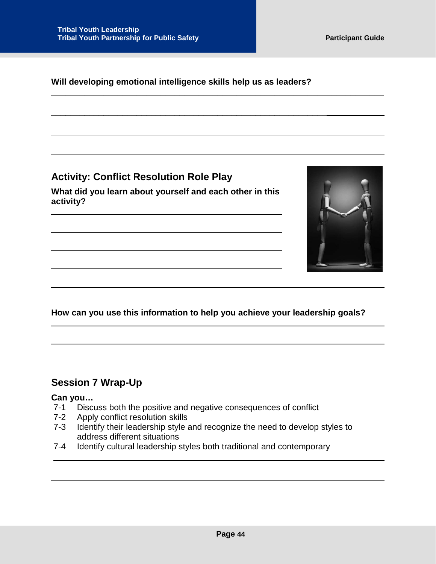#### **Will developing emotional intelligence skills help us as leaders?**

\_\_\_\_\_\_\_\_\_\_\_\_\_\_\_\_\_\_\_\_\_\_\_\_\_\_\_\_\_\_\_\_\_\_\_\_\_\_\_\_\_\_\_\_\_\_\_\_\_\_\_\_\_\_\_\_\_\_

\_\_\_\_\_\_\_\_\_\_\_\_\_\_\_\_\_\_\_\_\_\_\_\_\_\_\_\_\_\_\_\_\_\_\_\_\_\_\_\_\_\_\_\_\_\_\_\_\_\_\_\_\_\_\_\_\_\_\_\_\_\_\_\_\_\_\_\_\_\_

<span id="page-44-0"></span>**Activity: Conflict Resolution Role Play**

**What did you learn about yourself and each other in this activity?**



#### **How can you use this information to help you achieve your leadership goals?**

## <span id="page-44-1"></span>**Session 7 Wrap-Up**

# **Can you…**

- Discuss both the positive and negative consequences of conflict
- 7-2 Apply conflict resolution skills
- 7-3 Identify their leadership style and recognize the need to develop styles to address different situations
- 7-4 Identify cultural leadership styles both traditional and contemporary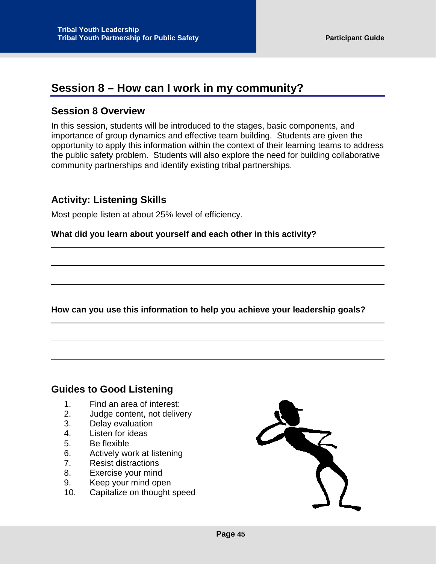## <span id="page-45-0"></span>**Session 8 – How can I work in my community?**

## <span id="page-45-1"></span>**Session 8 Overview**

In this session, students will be introduced to the stages, basic components, and importance of group dynamics and effective team building. Students are given the opportunity to apply this information within the context of their learning teams to address the public safety problem. Students will also explore the need for building collaborative community partnerships and identify existing tribal partnerships.

## <span id="page-45-2"></span>**Activity: Listening Skills**

Most people listen at about 25% level of efficiency.

**What did you learn about yourself and each other in this activity?**

**How can you use this information to help you achieve your leadership goals?**

## <span id="page-45-3"></span>**Guides to Good Listening**

- 1. Find an area of interest:
- 2. Judge content, not delivery
- 3. Delay evaluation
- 4. Listen for ideas
- 5. Be flexible
- 6. Actively work at listening
- 7. Resist distractions
- 8. Exercise your mind
- 9. Keep your mind open
- 10. Capitalize on thought speed

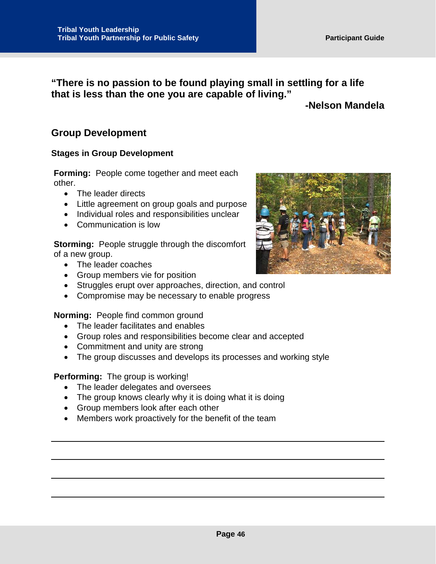**"There is no passion to be found playing small in settling for a life that is less than the one you are capable of living."** 

## **-Nelson Mandela**

## <span id="page-46-0"></span>**Group Development**

#### **Stages in Group Development**

**Forming:** People come together and meet each other.

- The leader directs
- Little agreement on group goals and purpose
- Individual roles and responsibilities unclear
- Communication is low

**Storming:** People struggle through the discomfort of a new group.

- The leader coaches
- Group members vie for position
- Struggles erupt over approaches, direction, and control
- Compromise may be necessary to enable progress

**Norming:** People find common ground

- The leader facilitates and enables
- Group roles and responsibilities become clear and accepted
- Commitment and unity are strong
- The group discusses and develops its processes and working style

#### **Performing:** The group is working!

- The leader delegates and oversees
- The group knows clearly why it is doing what it is doing
- Group members look after each other
- Members work proactively for the benefit of the team

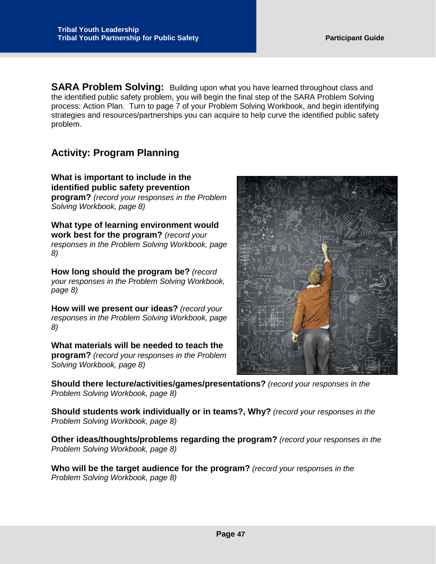<span id="page-47-0"></span>**SARA Problem Solving:** Building upon what you have learned throughout class and the identified public safety problem, you will begin the final step of the SARA Problem Solving process: Action Plan. Turn to page 7 of your Problem Solving Workbook, and begin identifying strategies and resources/partnerships you can acquire to help curve the identified public safety problem.

## <span id="page-47-1"></span>**Activity: Program Planning**

**What is important to include in the identified public safety prevention program?** *(record your responses in the Problem Solving Workbook, page 8)*

**What type of learning environment would work best for the program?** *(record your responses in the Problem Solving Workbook, page 8)*

**How long should the program be?** *(record your responses in the Problem Solving Workbook, page 8)*

**How will we present our ideas?** *(record your responses in the Problem Solving Workbook, page 8)*

**What materials will be needed to teach the program?** *(record your responses in the Problem Solving Workbook, page 8)*

**Should there lecture/activities/games/presentations?** *(record your responses in the Problem Solving Workbook, page 8)*

**Should students work individually or in teams?, Why?** *(record your responses in the Problem Solving Workbook, page 8)*

**Other ideas/thoughts/problems regarding the program?** *(record your responses in the Problem Solving Workbook, page 8)*

**Who will be the target audience for the program?** *(record your responses in the Problem Solving Workbook, page 8)*

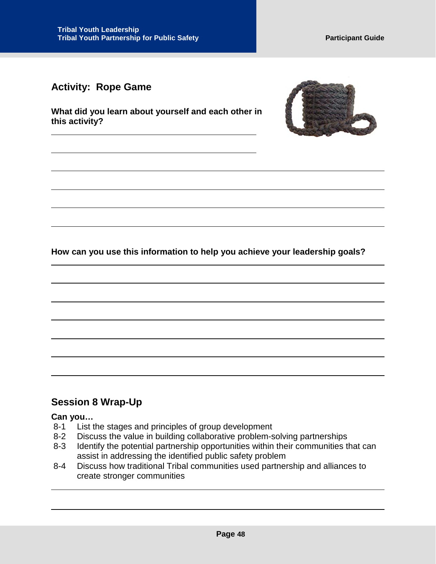## <span id="page-48-0"></span>**Activity: Rope Game**

**What did you learn about yourself and each other in this activity?**



**How can you use this information to help you achieve your leadership goals?**

## <span id="page-48-1"></span>**Session 8 Wrap-Up**

#### **Can you…**

- 8-1 List the stages and principles of group development
- 8-2 Discuss the value in building collaborative problem-solving partnerships
- 8-3 Identify the potential partnership opportunities within their communities that can assist in addressing the identified public safety problem
- 8-4 Discuss how traditional Tribal communities used partnership and alliances to create stronger communities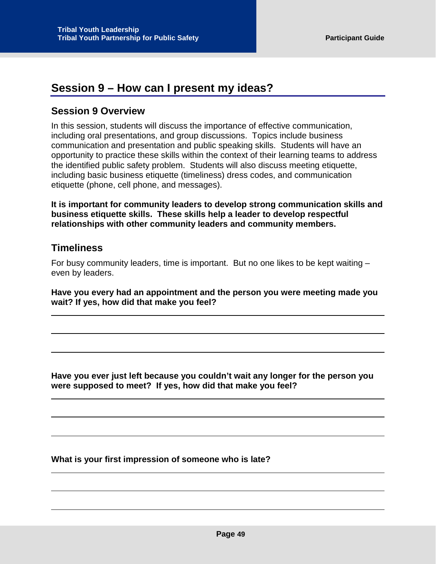## <span id="page-49-0"></span>**Session 9 – How can I present my ideas?**

## <span id="page-49-1"></span>**Session 9 Overview**

In this session, students will discuss the importance of effective communication, including oral presentations, and group discussions. Topics include business communication and presentation and public speaking skills. Students will have an opportunity to practice these skills within the context of their learning teams to address the identified public safety problem. Students will also discuss meeting etiquette, including basic business etiquette (timeliness) dress codes, and communication etiquette (phone, cell phone, and messages).

**It is important for community leaders to develop strong communication skills and business etiquette skills. These skills help a leader to develop respectful relationships with other community leaders and community members.** 

## <span id="page-49-2"></span>**Timeliness**

For busy community leaders, time is important. But no one likes to be kept waiting – even by leaders.

**Have you every had an appointment and the person you were meeting made you wait? If yes, how did that make you feel?**

**Have you ever just left because you couldn't wait any longer for the person you were supposed to meet? If yes, how did that make you feel?**

**What is your first impression of someone who is late?**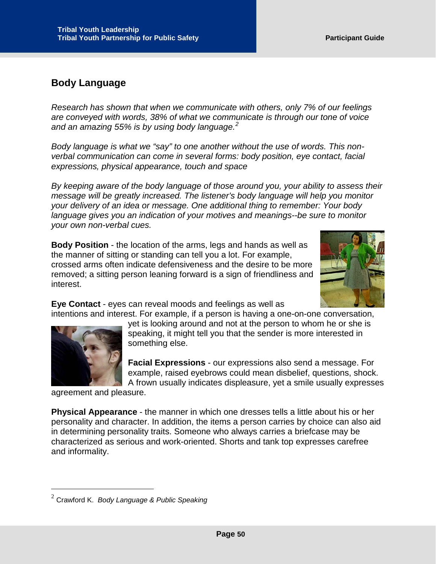## <span id="page-50-0"></span>**Body Language**

*Research has shown that when we communicate with others, only 7% of our feelings are conveyed with words, 38% of what we communicate is through our tone of voice and an amazing 55% is by using body language.[2](#page-50-1)*

*Body language is what we "say" to one another without the use of words. This nonverbal communication can come in several forms: body position, eye contact, facial expressions, physical appearance, touch and space*

*By keeping aware of the body language of those around you, your ability to assess their message will be greatly increased. The listener's body language will help you monitor your delivery of an idea or message. One additional thing to remember: Your body language gives you an indication of your motives and meanings--be sure to monitor your own non-verbal cues.*

**Body Position** - the location of the arms, legs and hands as well as the manner of sitting or standing can tell you a lot. For example, crossed arms often indicate defensiveness and the desire to be more removed; a sitting person leaning forward is a sign of friendliness and interest.

**Eye Contact** - eyes can reveal moods and feelings as well as



 $\ddot{\phantom{a}}$ 

intentions and interest. For example, if a person is having a one-on-one conversation, yet is looking around and not at the person to whom he or she is speaking, it might tell you that the sender is more interested in something else.

> **Facial Expressions** - our expressions also send a message. For example, raised eyebrows could mean disbelief, questions, shock. A frown usually indicates displeasure, yet a smile usually expresses

agreement and pleasure.

**Physical Appearance** - the manner in which one dresses tells a little about his or her personality and character. In addition, the items a person carries by choice can also aid in determining personality traits. Someone who always carries a briefcase may be characterized as serious and work-oriented. Shorts and tank top expresses carefree and informality.

<span id="page-50-1"></span><sup>2</sup> Crawford K. *Body Language & Public Speaking*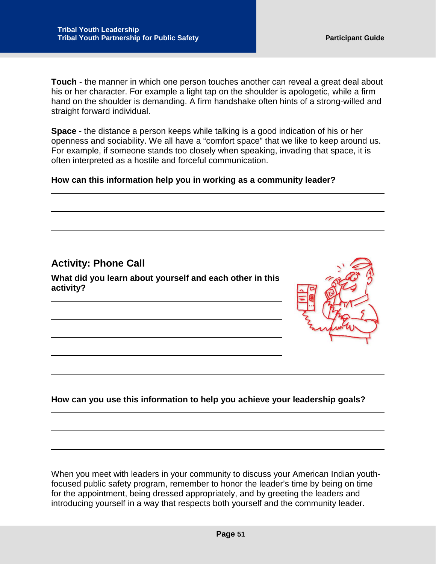**Touch** - the manner in which one person touches another can reveal a great deal about his or her character. For example a light tap on the shoulder is apologetic, while a firm hand on the shoulder is demanding. A firm handshake often hints of a strong-willed and straight forward individual.

**Space** - the distance a person keeps while talking is a good indication of his or her openness and sociability. We all have a "comfort space" that we like to keep around us. For example, if someone stands too closely when speaking, invading that space, it is often interpreted as a hostile and forceful communication.

#### **How can this information help you in working as a community leader?**

<span id="page-51-0"></span>**Activity: Phone Call**

**What did you learn about yourself and each other in this activity?**



#### **How can you use this information to help you achieve your leadership goals?**

When you meet with leaders in your community to discuss your American Indian youthfocused public safety program, remember to honor the leader's time by being on time for the appointment, being dressed appropriately, and by greeting the leaders and introducing yourself in a way that respects both yourself and the community leader.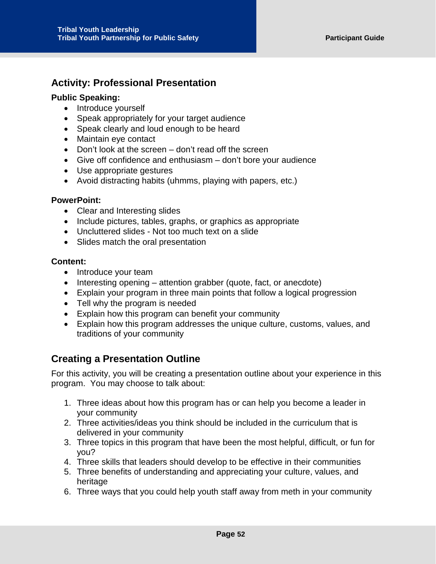## <span id="page-52-0"></span>**Activity: Professional Presentation**

#### **Public Speaking:**

- Introduce yourself
- Speak appropriately for your target audience
- Speak clearly and loud enough to be heard
- Maintain eye contact
- Don't look at the screen don't read off the screen
- Give off confidence and enthusiasm don't bore your audience
- Use appropriate gestures
- Avoid distracting habits (uhmms, playing with papers, etc.)

#### **PowerPoint:**

- Clear and Interesting slides
- Include pictures, tables, graphs, or graphics as appropriate
- Uncluttered slides Not too much text on a slide
- Slides match the oral presentation

#### **Content:**

- Introduce your team
- Interesting opening attention grabber (quote, fact, or anecdote)
- Explain your program in three main points that follow a logical progression
- Tell why the program is needed
- Explain how this program can benefit your community
- Explain how this program addresses the unique culture, customs, values, and traditions of your community

## <span id="page-52-1"></span>**Creating a Presentation Outline**

For this activity, you will be creating a presentation outline about your experience in this program. You may choose to talk about:

- 1. Three ideas about how this program has or can help you become a leader in your community
- 2. Three activities/ideas you think should be included in the curriculum that is delivered in your community
- 3. Three topics in this program that have been the most helpful, difficult, or fun for you?
- 4. Three skills that leaders should develop to be effective in their communities
- 5. Three benefits of understanding and appreciating your culture, values, and heritage
- 6. Three ways that you could help youth staff away from meth in your community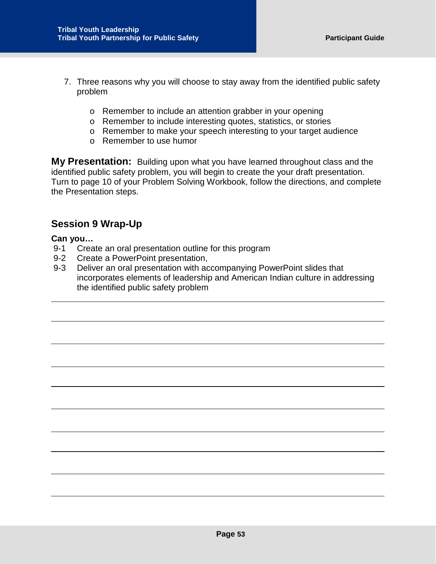- 7. Three reasons why you will choose to stay away from the identified public safety problem
	- o Remember to include an attention grabber in your opening
	- o Remember to include interesting quotes, statistics, or stories
	- o Remember to make your speech interesting to your target audience
	- o Remember to use humor

**My Presentation:** Building upon what you have learned throughout class and the identified public safety problem, you will begin to create the your draft presentation. Turn to page 10 of your Problem Solving Workbook, follow the directions, and complete the Presentation steps.

## <span id="page-53-0"></span>**Session 9 Wrap-Up**

#### **Can you…**

- 9-1 Create an oral presentation outline for this program
- 9-2 Create a PowerPoint presentation,
- 9-3 Deliver an oral presentation with accompanying PowerPoint slides that incorporates elements of leadership and American Indian culture in addressing the identified public safety problem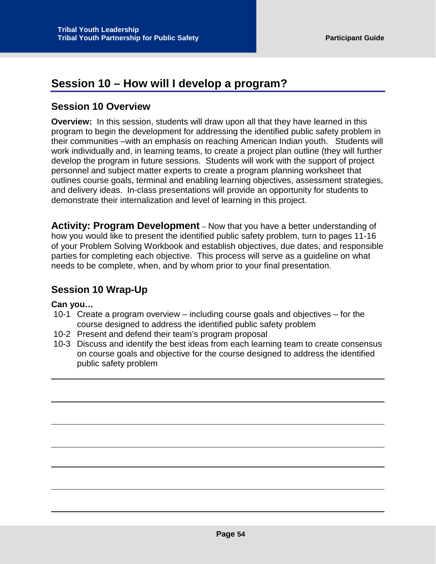## <span id="page-54-0"></span>**Session 10 – How will I develop a program?**

## <span id="page-54-1"></span>**Session 10 Overview**

**Overview:** In this session, students will draw upon all that they have learned in this program to begin the development for addressing the identified public safety problem in their communities –with an emphasis on reaching American Indian youth. Students will work individually and, in learning teams, to create a project plan outline (they will further develop the program in future sessions. Students will work with the support of project personnel and subject matter experts to create a program planning worksheet that outlines course goals, terminal and enabling learning objectives, assessment strategies, and delivery ideas. In-class presentations will provide an opportunity for students to demonstrate their internalization and level of learning in this project.

**Activity: Program Development** – Now that you have a better understanding of how you would like to present the identified public safety problem, turn to pages 11-16 of your Problem Solving Workbook and establish objectives, due dates, and responsible parties for completing each objective. This process will serve as a guideline on what needs to be complete, when, and by whom prior to your final presentation.

## <span id="page-54-2"></span>**Session 10 Wrap-Up**

#### **Can you…**

- 10-1 Create a program overview including course goals and objectives for the course designed to address the identified public safety problem
- 10-2 Present and defend their team's program proposal
- 10-3 Discuss and identify the best ideas from each learning team to create consensus on course goals and objective for the course designed to address the identified public safety problem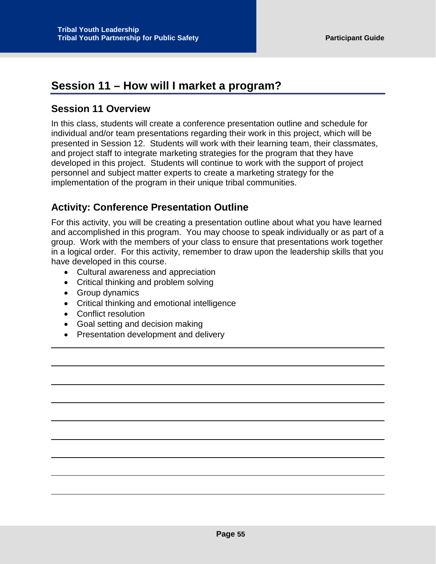## <span id="page-55-0"></span>**Session 11 – How will I market a program?**

## <span id="page-55-1"></span>**Session 11 Overview**

In this class, students will create a conference presentation outline and schedule for individual and/or team presentations regarding their work in this project, which will be presented in Session 12. Students will work with their learning team, their classmates, and project staff to integrate marketing strategies for the program that they have developed in this project. Students will continue to work with the support of project personnel and subject matter experts to create a marketing strategy for the implementation of the program in their unique tribal communities.

## <span id="page-55-2"></span>**Activity: Conference Presentation Outline**

For this activity, you will be creating a presentation outline about what you have learned and accomplished in this program. You may choose to speak individually or as part of a group. Work with the members of your class to ensure that presentations work together in a logical order. For this activity, remember to draw upon the leadership skills that you have developed in this course.

- Cultural awareness and appreciation
- Critical thinking and problem solving
- Group dynamics
- Critical thinking and emotional intelligence
- Conflict resolution
- Goal setting and decision making
- Presentation development and delivery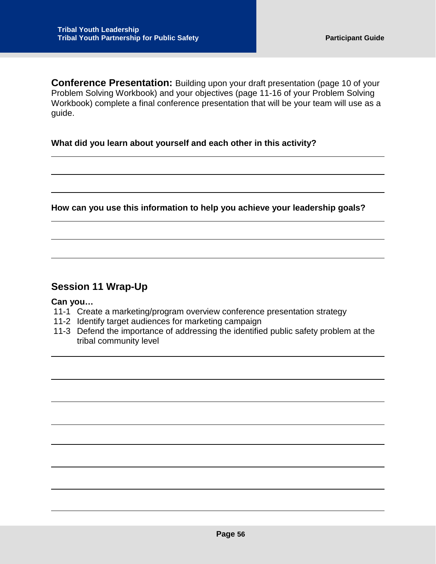**Conference Presentation:** Building upon your draft presentation (page 10 of your Problem Solving Workbook) and your objectives (page 11-16 of your Problem Solving Workbook) complete a final conference presentation that will be your team will use as a guide.

#### **What did you learn about yourself and each other in this activity?**

**How can you use this information to help you achieve your leadership goals?**

## <span id="page-56-0"></span>**Session 11 Wrap-Up**

#### **Can you…**

- 11-1 Create a marketing/program overview conference presentation strategy
- 11-2 Identify target audiences for marketing campaign
- 11-3 Defend the importance of addressing the identified public safety problem at the tribal community level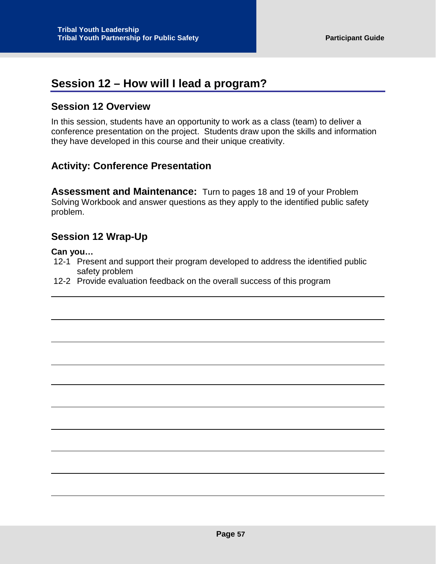## <span id="page-57-0"></span>**Session 12 – How will I lead a program?**

## <span id="page-57-1"></span>**Session 12 Overview**

In this session, students have an opportunity to work as a class (team) to deliver a conference presentation on the project. Students draw upon the skills and information they have developed in this course and their unique creativity.

## <span id="page-57-2"></span>**Activity: Conference Presentation**

**Assessment and Maintenance:** Turn to pages 18 and 19 of your Problem Solving Workbook and answer questions as they apply to the identified public safety problem.

## <span id="page-57-3"></span>**Session 12 Wrap-Up**

#### **Can you…**

- 12-1 Present and support their program developed to address the identified public safety problem
- 12-2 Provide evaluation feedback on the overall success of this program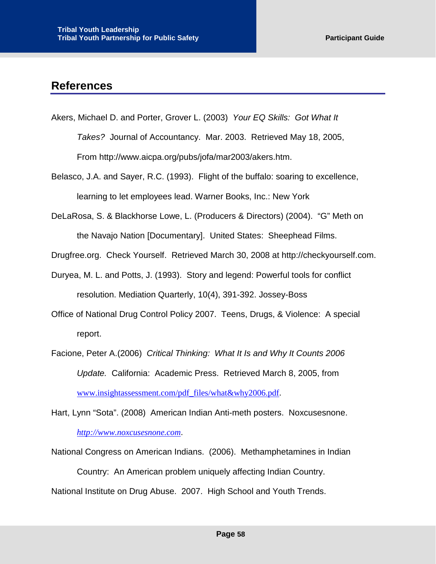## <span id="page-58-0"></span>**References**

- Akers, Michael D. and Porter, Grover L. (2003) *Your EQ Skills: Got What It Takes?* Journal of Accountancy. Mar. 2003. Retrieved May 18, 2005, From http://www.aicpa.org/pubs/jofa/mar2003/akers.htm.
- Belasco, J.A. and Sayer, R.C. (1993). Flight of the buffalo: soaring to excellence, learning to let employees lead. Warner Books, Inc.: New York
- DeLaRosa, S. & Blackhorse Lowe, L. (Producers & Directors) (2004). "G" Meth on the Navajo Nation [Documentary]. United States: Sheephead Films.
- Drugfree.org. Check Yourself. Retrieved March 30, 2008 at http://checkyourself.com.
- Duryea, M. L. and Potts, J. (1993). Story and legend: Powerful tools for conflict resolution. Mediation Quarterly, 10(4), 391-392. Jossey-Boss
- Office of National Drug Control Policy 2007. Teens, Drugs, & Violence: A special report.
- Facione, Peter A.(2006) *Critical Thinking: What It Is and Why It Counts 2006 Update.* California: Academic Press. Retrieved March 8, 2005, from [www.insightassessment.com/pdf\\_files/what&why2006.pdf](http://www.insightassessment.com/pdf_files/what&why2006.pdf).

Hart, Lynn "Sota". (2008) American Indian Anti-meth posters. Noxcusesnone. *[http://www.noxcusesnone.com](http://)*.

National Congress on American Indians. (2006). Methamphetamines in Indian Country: An American problem uniquely affecting Indian Country. National Institute on Drug Abuse. 2007. High School and Youth Trends.